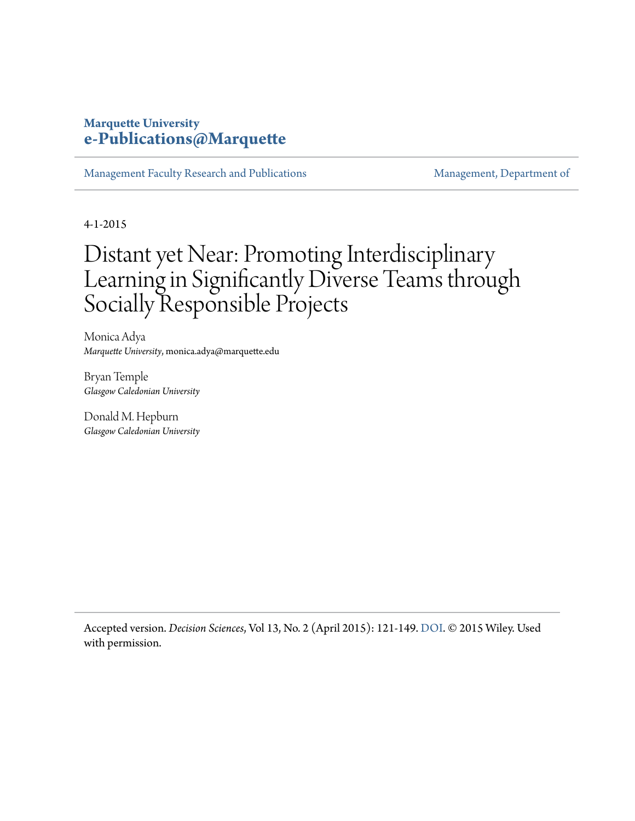#### **Marquette University [e-Publications@Marquette](https://epublications.marquette.edu)**

[Management Faculty Research and Publications](https://epublications.marquette.edu/mgmt_fac) [Management, Department of](https://epublications.marquette.edu/mgmt)

4-1-2015

# Distant yet Near: Promoting Interdisciplinary Learning in Significantly Diverse Teams through Socially Responsible Projects

Monica Adya *Marquette University*, monica.adya@marquette.edu

Bryan Temple *Glasgow Caledonian University*

Donald M. Hepburn *Glasgow Caledonian University*

Accepted version. *Decision Sciences*, Vol 13, No. 2 (April 2015): 121-149. [DOI](https://doi.org/10.1111/dsji.12058). © 2015 Wiley. Used with permission.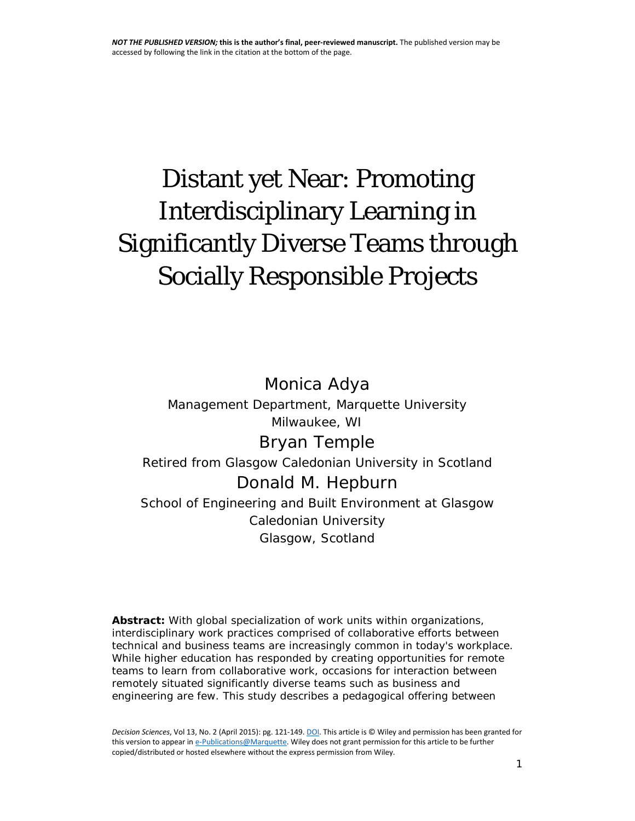# Distant yet Near: Promoting Interdisciplinary Learning in Significantly Diverse Teams through Socially Responsible Projects

## Monica Adya

*Management Department, Marquette University Milwaukee, WI*

## Bryan Temple

*Retired from Glasgow Caledonian University in Scotland* Donald M. Hepburn

*School of Engineering and Built Environment at Glasgow Caledonian University Glasgow, Scotland*

**Abstract:** With global specialization of work units within organizations, interdisciplinary work practices comprised of collaborative efforts between technical and business teams are increasingly common in today's workplace. While higher education has responded by creating opportunities for remote teams to learn from collaborative work, occasions for interaction between remotely situated *significantly diverse teams* such as business and engineering are few. This study describes a pedagogical offering between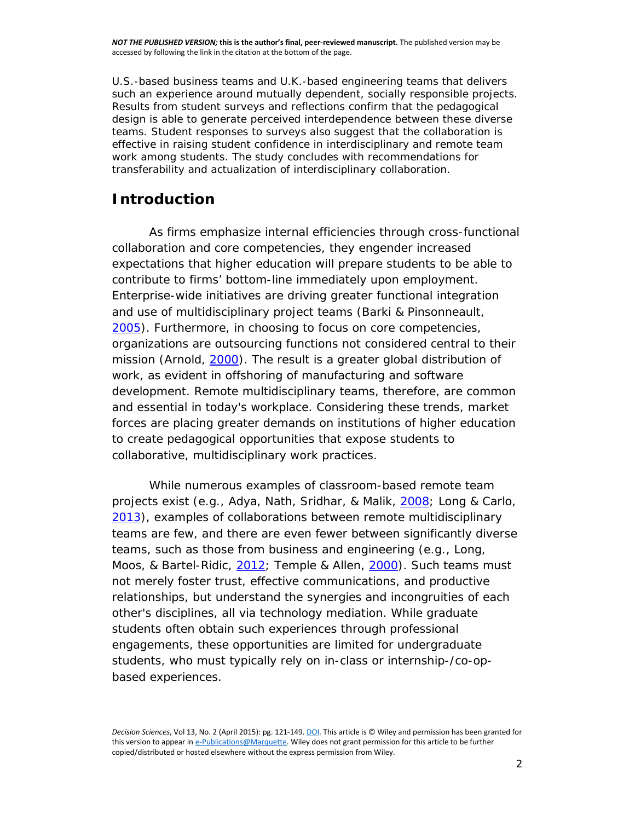U.S.-based business teams and U.K.-based engineering teams that delivers such an experience around mutually dependent, socially responsible projects. Results from student surveys and reflections confirm that the pedagogical design is able to generate perceived interdependence between these diverse teams. Student responses to surveys also suggest that the collaboration is effective in raising student confidence in interdisciplinary and remote team work among students. The study concludes with recommendations for transferability and actualization of interdisciplinary collaboration.

#### **Introduction**

As firms emphasize internal efficiencies through cross-functional collaboration and core competencies, they engender increased expectations that higher education will prepare students to be able to contribute to firms' bottom-line immediately upon employment. Enterprise-wide initiatives are driving greater functional integration and use of multidisciplinary project teams (Barki & Pinsonneault, [2005\)](http://onlinelibrary.wiley.com/doi/10.1111/dsji.12058/full#dsji12058-bib-0003). Furthermore, in choosing to focus on core competencies, organizations are outsourcing functions not considered central to their mission (Arnold, [2000\)](http://onlinelibrary.wiley.com/doi/10.1111/dsji.12058/full#dsji12058-bib-0002). The result is a greater global distribution of work, as evident in offshoring of manufacturing and software development. Remote multidisciplinary teams, therefore, are common and essential in today's workplace. Considering these trends, market forces are placing greater demands on institutions of higher education to create pedagogical opportunities that expose students to collaborative, multidisciplinary work practices.

While numerous examples of classroom-based remote team projects exist (e.g., Adya, Nath, Sridhar, & Malik, [2008;](http://onlinelibrary.wiley.com/doi/10.1111/dsji.12058/full#dsji12058-bib-0001) Long & Carlo, [2013\)](http://onlinelibrary.wiley.com/doi/10.1111/dsji.12058/full#dsji12058-bib-0011), examples of collaborations between remote multidisciplinary teams are few, and there are even fewer between significantly diverse teams, such as those from business and engineering (e.g., Long, Moos, & Bartel-Ridic, [2012;](http://onlinelibrary.wiley.com/doi/10.1111/dsji.12058/full#dsji12058-bib-0012) Temple & Allen, [2000\)](http://onlinelibrary.wiley.com/doi/10.1111/dsji.12058/full#dsji12058-bib-0028). Such teams must not merely foster trust, effective communications, and productive relationships, but understand the synergies and incongruities of each other's disciplines, all via technology mediation. While graduate students often obtain such experiences through professional engagements, these opportunities are limited for undergraduate students, who must typically rely on in-class or internship-/co-opbased experiences.

*Decision Sciences*, Vol 13, No. 2 (April 2015): pg. 121-149[. DOI.](https://doi.org/10.1111/dsji.12058) This article is © Wiley and permission has been granted for this version to appear i[n e-Publications@Marquette.](http://epublications.marquette.edu/) Wiley does not grant permission for this article to be further copied/distributed or hosted elsewhere without the express permission from Wiley.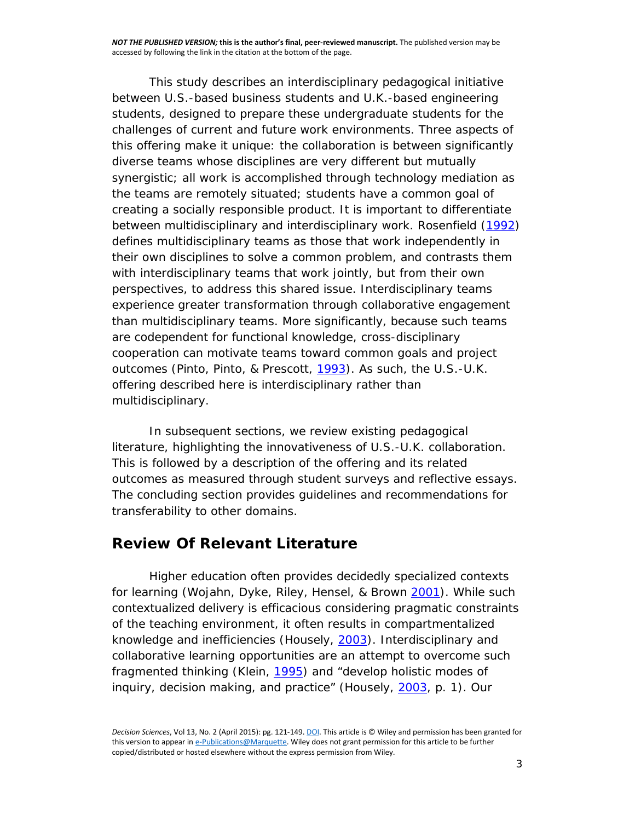This study describes an interdisciplinary pedagogical initiative between U.S.-based business students and U.K.-based engineering students, designed to prepare these undergraduate students for the challenges of current and future work environments. Three aspects of this offering make it unique: the collaboration is between *significantly diverse teams* whose disciplines are very different but mutually synergistic; all work is accomplished through technology mediation as the teams are *remotely situated*; students have a common goal of creating a *socially responsible* product. It is important to differentiate between multidisciplinary and interdisciplinary work. Rosenfield [\(1992\)](http://onlinelibrary.wiley.com/doi/10.1111/dsji.12058/full#dsji12058-bib-0025) defines multidisciplinary teams as those that work *independently* in their own disciplines to solve a common problem, and contrasts them with interdisciplinary teams that work *jointly*, but from their own perspectives, to address this *shared* issue. Interdisciplinary teams experience greater transformation through collaborative engagement than multidisciplinary teams. More significantly, because such teams are codependent for functional knowledge, cross-disciplinary cooperation can motivate teams toward common goals and project outcomes (Pinto, Pinto, & Prescott, [1993\)](http://onlinelibrary.wiley.com/doi/10.1111/dsji.12058/full#dsji12058-bib-0021). As such, the U.S.-U.K. offering described here is interdisciplinary rather than multidisciplinary.

In subsequent sections, we review existing pedagogical literature, highlighting the innovativeness of U.S.-U.K. collaboration. This is followed by a description of the offering and its related outcomes as measured through student surveys and reflective essays. The concluding section provides guidelines and recommendations for transferability to other domains.

#### **Review Of Relevant Literature**

Higher education often provides decidedly specialized contexts for learning (Wojahn, Dyke, Riley, Hensel, & Brown [2001\)](http://onlinelibrary.wiley.com/doi/10.1111/dsji.12058/full#dsji12058-bib-0031). While such contextualized delivery is efficacious considering pragmatic constraints of the teaching environment, it often results in compartmentalized knowledge and inefficiencies (Housely, [2003\)](http://onlinelibrary.wiley.com/doi/10.1111/dsji.12058/full#dsji12058-bib-0008). Interdisciplinary and collaborative learning opportunities are an attempt to overcome such fragmented thinking (Klein, [1995\)](http://onlinelibrary.wiley.com/doi/10.1111/dsji.12058/full#dsji12058-bib-0010) and "develop holistic modes of inquiry, decision making, and practice" (Housely, [2003,](http://onlinelibrary.wiley.com/doi/10.1111/dsji.12058/full#dsji12058-bib-0008) p. 1). Our

*Decision Sciences*, Vol 13, No. 2 (April 2015): pg. 121-149[. DOI.](https://doi.org/10.1111/dsji.12058) This article is © Wiley and permission has been granted for this version to appear i[n e-Publications@Marquette.](http://epublications.marquette.edu/) Wiley does not grant permission for this article to be further copied/distributed or hosted elsewhere without the express permission from Wiley.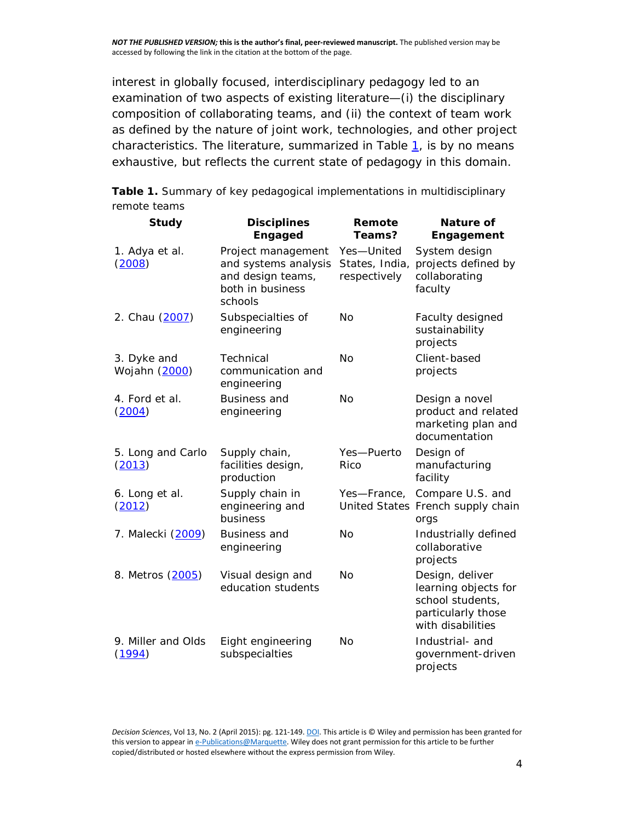interest in globally focused, interdisciplinary pedagogy led to an examination of two aspects of existing literature—(i) the disciplinary composition of collaborating teams, and (ii) the context of team work as defined by the nature of joint work, technologies, and other project characteristics. The literature, summarized in Table  $1$ , is by no means exhaustive, but reflects the current state of pedagogy in this domain.

**Table 1.** Summary of key pedagogical implementations in multidisciplinary remote teams

| <b>Study</b>                 | <b>Disciplines</b><br><b>Engaged</b>                                                           | Remote<br>Teams?                             | Nature of<br>Engagement                                                                                |
|------------------------------|------------------------------------------------------------------------------------------------|----------------------------------------------|--------------------------------------------------------------------------------------------------------|
| 1. Adya et al.<br>(2008)     | Project management<br>and systems analysis<br>and design teams,<br>both in business<br>schools | Yes-United<br>States, India,<br>respectively | System design<br>projects defined by<br>collaborating<br>faculty                                       |
| 2. Chau (2007)               | Subspecialties of<br>engineering                                                               | <b>No</b>                                    | Faculty designed<br>sustainability<br>projects                                                         |
| 3. Dyke and<br>Wojahn (2000) | Technical<br>communication and<br>engineering                                                  | No                                           | Client-based<br>projects                                                                               |
| 4. Ford et al.<br>(2004)     | <b>Business and</b><br>engineering                                                             | <b>No</b>                                    | Design a novel<br>product and related<br>marketing plan and<br>documentation                           |
| 5. Long and Carlo<br>(2013)  | Supply chain,<br>facilities design,<br>production                                              | Yes-Puerto<br>Rico                           | Design of<br>manufacturing<br>facility                                                                 |
| 6. Long et al.<br>(2012)     | Supply chain in<br>engineering and<br>business                                                 | Yes-France,                                  | Compare U.S. and<br>United States French supply chain<br>orgs                                          |
| 7. Malecki (2009)            | <b>Business and</b><br>engineering                                                             | <b>No</b>                                    | Industrially defined<br>collaborative<br>projects                                                      |
| 8. Metros (2005)             | Visual design and<br>education students                                                        | No                                           | Design, deliver<br>learning objects for<br>school students,<br>particularly those<br>with disabilities |
| 9. Miller and Olds<br>(1994) | Eight engineering<br>subspecialties                                                            | <b>No</b>                                    | Industrial- and<br>government-driven<br>projects                                                       |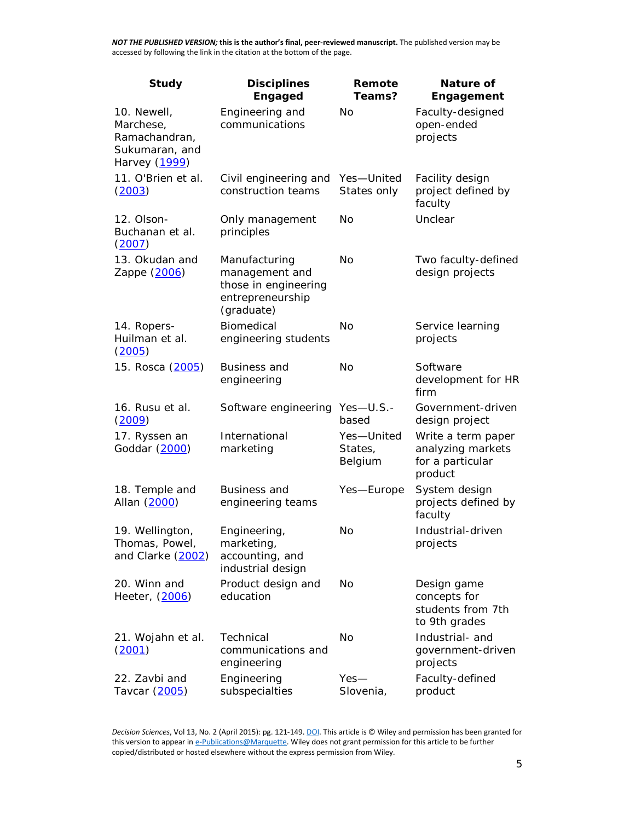| <b>Study</b>                                                                 | <b>Disciplines</b><br><b>Engaged</b>                                                      | Remote<br>Teams?                 | Nature of<br>Engagement                                                |
|------------------------------------------------------------------------------|-------------------------------------------------------------------------------------------|----------------------------------|------------------------------------------------------------------------|
| 10. Newell,<br>Marchese,<br>Ramachandran,<br>Sukumaran, and<br>Harvey (1999) | Engineering and<br>communications                                                         | No                               | Faculty-designed<br>open-ended<br>projects                             |
| 11. O'Brien et al.<br>(2003)                                                 | Civil engineering and<br>construction teams                                               | Yes-United<br>States only        | Facility design<br>project defined by<br>faculty                       |
| 12. Olson-<br>Buchanan et al.<br>(2007)                                      | Only management<br>principles                                                             | No                               | Unclear                                                                |
| 13. Okudan and<br>Zappe (2006)                                               | Manufacturing<br>management and<br>those in engineering<br>entrepreneurship<br>(graduate) | No                               | Two faculty-defined<br>design projects                                 |
| 14. Ropers-<br>Huilman et al.<br>(2005)                                      | Biomedical<br>engineering students                                                        | No                               | Service learning<br>projects                                           |
| 15. Rosca (2005)                                                             | <b>Business and</b><br>engineering                                                        | No                               | Software<br>development for HR<br>firm                                 |
| 16. Rusu et al.<br>(2009)                                                    | Software engineering                                                                      | $Yes-U.S. -$<br>based            | Government-driven<br>design project                                    |
| 17. Ryssen an<br>Goddar (2000)                                               | International<br>marketing                                                                | Yes-United<br>States,<br>Belgium | Write a term paper<br>analyzing markets<br>for a particular<br>product |
| 18. Temple and<br>Allan (2000)                                               | <b>Business and</b><br>engineering teams                                                  | Yes-Europe                       | System design<br>projects defined by<br>faculty                        |
| 19. Wellington,<br>Thomas, Powel,<br>and Clarke (2002)                       | Engineering,<br>marketing,<br>accounting, and<br>industrial design                        | No                               | Industrial-driven<br>projects                                          |
| 20. Winn and<br>Heeter, (2006)                                               | Product design and<br>education                                                           | No                               | Design game<br>concepts for<br>students from 7th<br>to 9th grades      |
| 21. Wojahn et al.<br>(2001)                                                  | Technical<br>communications and<br>engineering                                            | No                               | Industrial- and<br>government-driven<br>projects                       |
| 22. Zavbi and<br>Tavcar (2005)                                               | Engineering<br>subspecialties                                                             | $Yes-$<br>Slovenia,              | Faculty-defined<br>product                                             |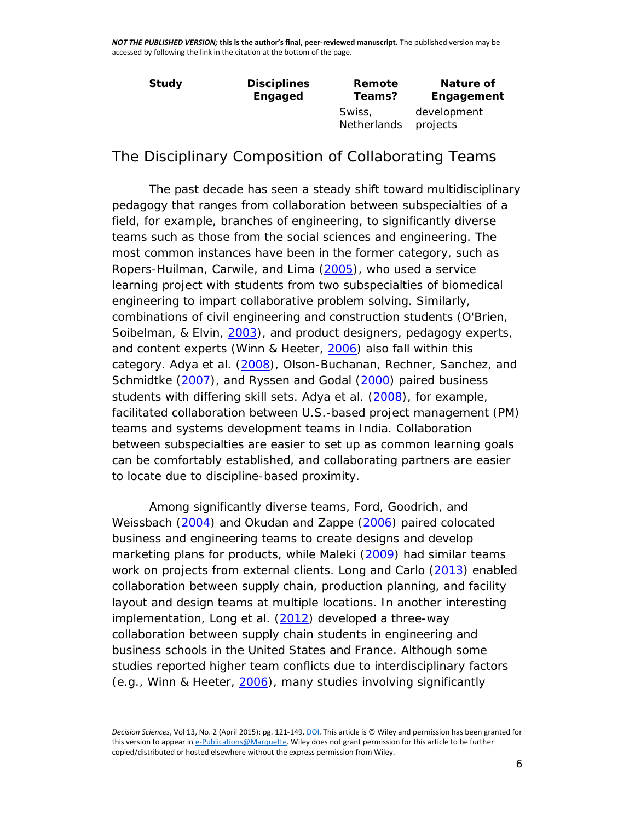| Study | <b>Disciplines</b> | Remote                       | Nature of               |
|-------|--------------------|------------------------------|-------------------------|
|       | Engaged            | Teams?                       | Engagement              |
|       |                    | Swiss,<br><b>Netherlands</b> | development<br>projects |

*The Disciplinary Composition of Collaborating Teams*

The past decade has seen a steady shift toward multidisciplinary pedagogy that ranges from collaboration between subspecialties of a field, for example, branches of engineering, to significantly diverse teams such as those from the social sciences and engineering. The most common instances have been in the former category, such as Ropers-Huilman, Carwile, and Lima [\(2005\)](http://onlinelibrary.wiley.com/doi/10.1111/dsji.12058/full#dsji12058-bib-0023), who used a service learning project with students from two subspecialties of biomedical engineering to impart collaborative problem solving. Similarly, combinations of civil engineering and construction students (O'Brien, Soibelman, & Elvin, [2003\)](http://onlinelibrary.wiley.com/doi/10.1111/dsji.12058/full#dsji12058-bib-0018), and product designers, pedagogy experts, and content experts (Winn & Heeter, [2006\)](http://onlinelibrary.wiley.com/doi/10.1111/dsji.12058/full#dsji12058-bib-0030) also fall within this category. Adya et al. [\(2008\)](http://onlinelibrary.wiley.com/doi/10.1111/dsji.12058/full#dsji12058-bib-0001), Olson-Buchanan, Rechner, Sanchez, and Schmidtke [\(2007\)](http://onlinelibrary.wiley.com/doi/10.1111/dsji.12058/full#dsji12058-bib-0020), and Ryssen and Godal [\(2000\)](http://onlinelibrary.wiley.com/doi/10.1111/dsji.12058/full#dsji12058-bib-0027) paired business students with differing skill sets. Adya et al. [\(2008\)](http://onlinelibrary.wiley.com/doi/10.1111/dsji.12058/full#dsji12058-bib-0001), for example, facilitated collaboration between U.S.-based project management (PM) teams and systems development teams in India. Collaboration between subspecialties are easier to set up as common learning goals can be comfortably established, and collaborating partners are easier to locate due to discipline-based proximity.

Among significantly diverse teams, Ford, Goodrich, and Weissbach [\(2004\)](http://onlinelibrary.wiley.com/doi/10.1111/dsji.12058/full#dsji12058-bib-0007) and Okudan and Zappe [\(2006\)](http://onlinelibrary.wiley.com/doi/10.1111/dsji.12058/full#dsji12058-bib-0019) paired colocated business and engineering teams to create designs and develop marketing plans for products, while Maleki [\(2009\)](http://onlinelibrary.wiley.com/doi/10.1111/dsji.12058/full#dsji12058-bib-0013) had similar teams work on projects from external clients. Long and Carlo [\(2013\)](http://onlinelibrary.wiley.com/doi/10.1111/dsji.12058/full#dsji12058-bib-0011) enabled collaboration between supply chain, production planning, and facility layout and design teams at multiple locations. In another interesting implementation, Long et al. [\(2012\)](http://onlinelibrary.wiley.com/doi/10.1111/dsji.12058/full#dsji12058-bib-0012) developed a three-way collaboration between supply chain students in engineering and business schools in the United States and France. Although some studies reported higher team conflicts due to interdisciplinary factors (e.g., Winn & Heeter, [2006\)](http://onlinelibrary.wiley.com/doi/10.1111/dsji.12058/full#dsji12058-bib-0030), many studies involving significantly

*Decision Sciences*, Vol 13, No. 2 (April 2015): pg. 121-149[. DOI.](https://doi.org/10.1111/dsji.12058) This article is © Wiley and permission has been granted for this version to appear i[n e-Publications@Marquette.](http://epublications.marquette.edu/) Wiley does not grant permission for this article to be further copied/distributed or hosted elsewhere without the express permission from Wiley.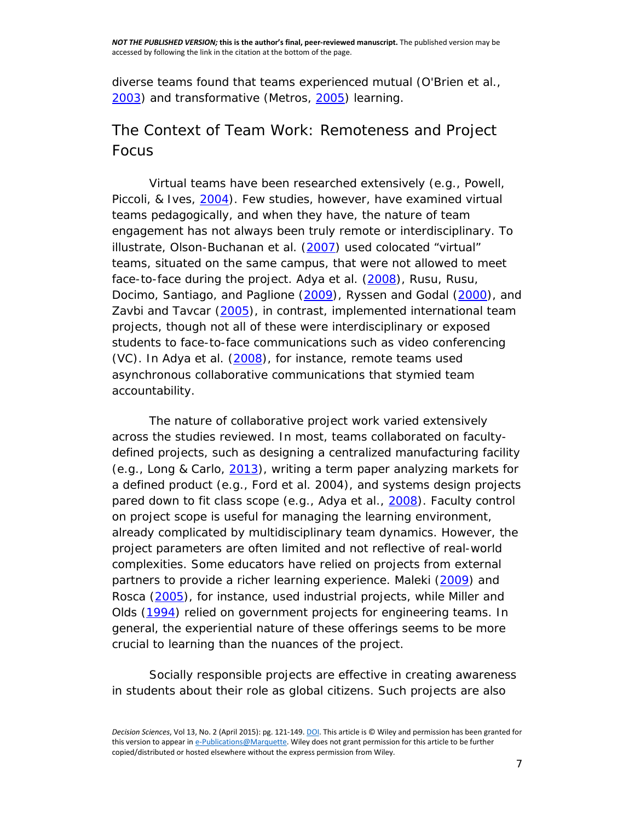diverse teams found that teams experienced mutual (O'Brien et al., [2003\)](http://onlinelibrary.wiley.com/doi/10.1111/dsji.12058/full#dsji12058-bib-0018) and transformative (Metros, [2005\)](http://onlinelibrary.wiley.com/doi/10.1111/dsji.12058/full#dsji12058-bib-0014) learning.

#### *The Context of Team Work: Remoteness and Project Focus*

Virtual teams have been researched extensively (e.g., Powell, Piccoli, & Ives, [2004\)](http://onlinelibrary.wiley.com/doi/10.1111/dsji.12058/full#dsji12058-bib-0022). Few studies, however, have examined virtual teams pedagogically, and when they have, the nature of team engagement has not always been truly remote or interdisciplinary. To illustrate, Olson-Buchanan et al. [\(2007\)](http://onlinelibrary.wiley.com/doi/10.1111/dsji.12058/full#dsji12058-bib-0020) used colocated "virtual" teams, situated on the same campus, that were not allowed to meet face-to-face during the project. Adya et al. [\(2008\)](http://onlinelibrary.wiley.com/doi/10.1111/dsji.12058/full#dsji12058-bib-0001), Rusu, Rusu, Docimo, Santiago, and Paglione [\(2009\)](http://onlinelibrary.wiley.com/doi/10.1111/dsji.12058/full#dsji12058-bib-0026), Ryssen and Godal [\(2000\)](http://onlinelibrary.wiley.com/doi/10.1111/dsji.12058/full#dsji12058-bib-0027), and Zavbi and Tavcar [\(2005\)](http://onlinelibrary.wiley.com/doi/10.1111/dsji.12058/full#dsji12058-bib-0032), in contrast, implemented international team projects, though not all of these were interdisciplinary or exposed students to face-to-face communications such as video conferencing (VC). In Adya et al. [\(2008\)](http://onlinelibrary.wiley.com/doi/10.1111/dsji.12058/full#dsji12058-bib-0001), for instance, remote teams used asynchronous collaborative communications that stymied team accountability.

The nature of collaborative project work varied extensively across the studies reviewed. In most, teams collaborated on facultydefined projects, such as designing a centralized manufacturing facility (e.g., Long & Carlo, [2013\)](http://onlinelibrary.wiley.com/doi/10.1111/dsji.12058/full#dsji12058-bib-0011), writing a term paper analyzing markets for a defined product (e.g., Ford et al. 2004), and systems design projects pared down to fit class scope (e.g., Adya et al., [2008\)](http://onlinelibrary.wiley.com/doi/10.1111/dsji.12058/full#dsji12058-bib-0001). Faculty control on project scope is useful for managing the learning environment, already complicated by multidisciplinary team dynamics. However, the project parameters are often limited and not reflective of real-world complexities. Some educators have relied on projects from external partners to provide a richer learning experience. Maleki [\(2009\)](http://onlinelibrary.wiley.com/doi/10.1111/dsji.12058/full#dsji12058-bib-0013) and Rosca [\(2005\)](http://onlinelibrary.wiley.com/doi/10.1111/dsji.12058/full#dsji12058-bib-0024), for instance, used industrial projects, while Miller and Olds [\(1994\)](http://onlinelibrary.wiley.com/doi/10.1111/dsji.12058/full#dsji12058-bib-0015) relied on government projects for engineering teams. In general, the experiential nature of these offerings seems to be more crucial to learning than the nuances of the project.

Socially responsible projects are effective in creating awareness in students about their role as global citizens. Such projects are also

*Decision Sciences*, Vol 13, No. 2 (April 2015): pg. 121-149[. DOI.](https://doi.org/10.1111/dsji.12058) This article is © Wiley and permission has been granted for this version to appear i[n e-Publications@Marquette.](http://epublications.marquette.edu/) Wiley does not grant permission for this article to be further copied/distributed or hosted elsewhere without the express permission from Wiley.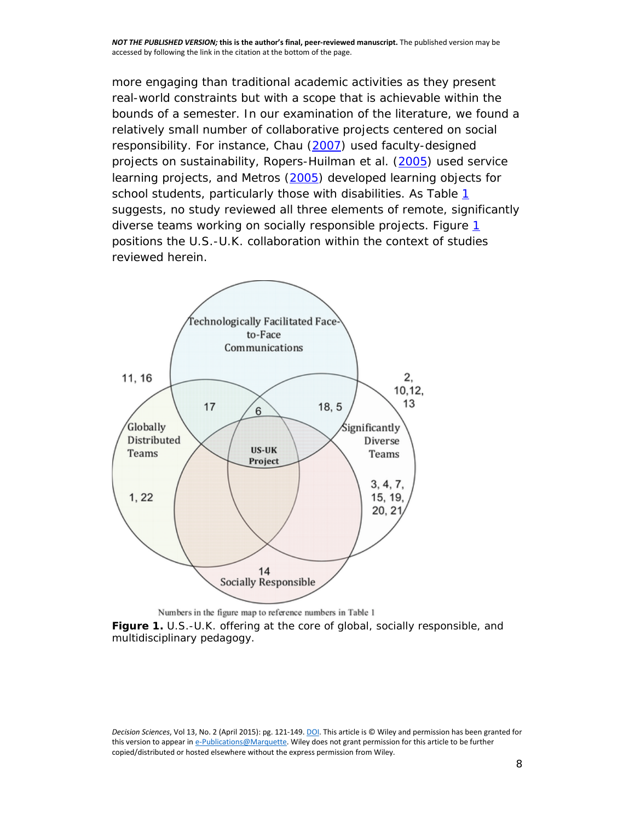more engaging than traditional academic activities as they present real-world constraints but with a scope that is achievable within the bounds of a semester. In our examination of the literature, we found a relatively small number of collaborative projects centered on social responsibility. For instance, Chau [\(2007\)](http://onlinelibrary.wiley.com/doi/10.1111/dsji.12058/full#dsji12058-bib-0004) used faculty-designed projects on sustainability, Ropers-Huilman et al. [\(2005\)](http://onlinelibrary.wiley.com/doi/10.1111/dsji.12058/full#dsji12058-bib-0023) used service learning projects, and Metros [\(2005\)](http://onlinelibrary.wiley.com/doi/10.1111/dsji.12058/full#dsji12058-bib-0014) developed learning objects for school students, particularly those with disabilities. As Table [1](http://onlinelibrary.wiley.com/doi/10.1111/dsji.12058/full#dsji12058-tbl-0001) suggests, no study reviewed all three elements of remote, significantly diverse teams working on socially responsible projects. Figure [1](http://onlinelibrary.wiley.com/doi/10.1111/dsji.12058/full#dsji12058-fig-0001) positions the U.S.-U.K. collaboration within the context of studies reviewed herein.



Numbers in the figure map to reference numbers in Table 1 **Figure 1.** U.S.-U.K. offering at the core of global, socially responsible, and multidisciplinary pedagogy.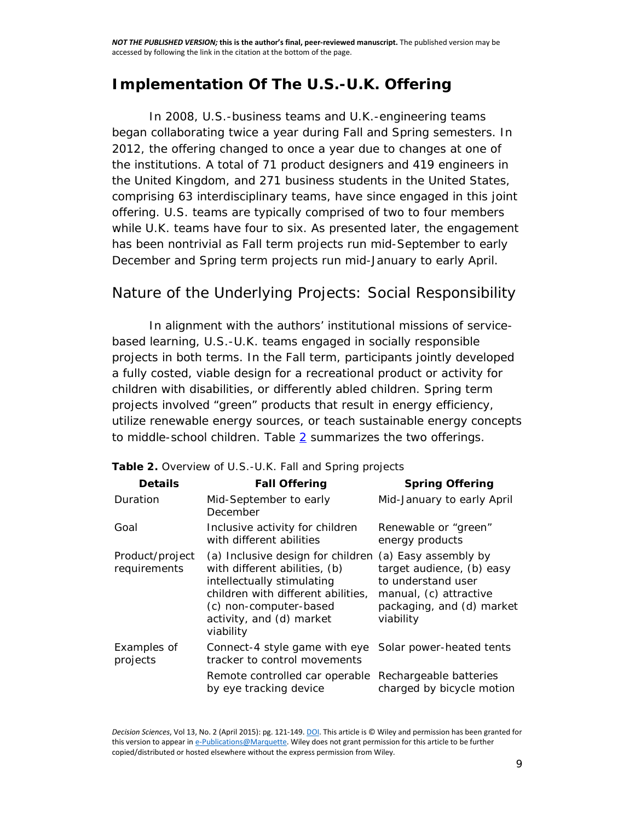## **Implementation Of The U.S.-U.K. Offering**

In 2008, U.S.-business teams and U.K.-engineering teams began collaborating twice a year during Fall and Spring semesters. In 2012, the offering changed to once a year due to changes at one of the institutions. A total of 71 product designers and 419 engineers in the United Kingdom, and 271 business students in the United States, comprising 63 interdisciplinary teams, have since engaged in this joint offering. U.S. teams are typically comprised of two to four members while U.K. teams have four to six. As presented later, the engagement has been nontrivial as Fall term projects run mid-September to early December and Spring term projects run mid-January to early April.

#### *Nature of the Underlying Projects: Social Responsibility*

In alignment with the authors' institutional missions of servicebased learning, U.S.-U.K. teams engaged in socially responsible projects in both terms. In the Fall term, participants jointly developed a fully costed, viable design for a recreational product or activity for children with disabilities, or *differently abled* children. Spring term projects involved "green" products that result in energy efficiency, utilize renewable energy sources, or teach sustainable energy concepts to middle-school children. Table  $2$  summarizes the two offerings.

| <b>Details</b>                  | <b>Fall Offering</b>                                                                                                                                                                                      | <b>Spring Offering</b>                                                                                                                      |
|---------------------------------|-----------------------------------------------------------------------------------------------------------------------------------------------------------------------------------------------------------|---------------------------------------------------------------------------------------------------------------------------------------------|
| Duration                        | Mid-September to early<br>December                                                                                                                                                                        | Mid-January to early April                                                                                                                  |
| Goal                            | Inclusive activity for children<br>with different abilities                                                                                                                                               | Renewable or "green"<br>energy products                                                                                                     |
| Product/project<br>requirements | (a) Inclusive design for children<br>with different abilities, (b)<br>intellectually stimulating<br>children with different abilities,<br>(c) non-computer-based<br>activity, and (d) market<br>viability | (a) Easy assembly by<br>target audience, (b) easy<br>to understand user<br>manual, (c) attractive<br>packaging, and (d) market<br>viability |
| Examples of<br>projects         | Connect-4 style game with eye<br>tracker to control movements                                                                                                                                             | Solar power-heated tents                                                                                                                    |
|                                 | Remote controlled car operable<br>by eye tracking device                                                                                                                                                  | Rechargeable batteries<br>charged by bicycle motion                                                                                         |

#### **Table 2.** Overview of U.S.-U.K. Fall and Spring projects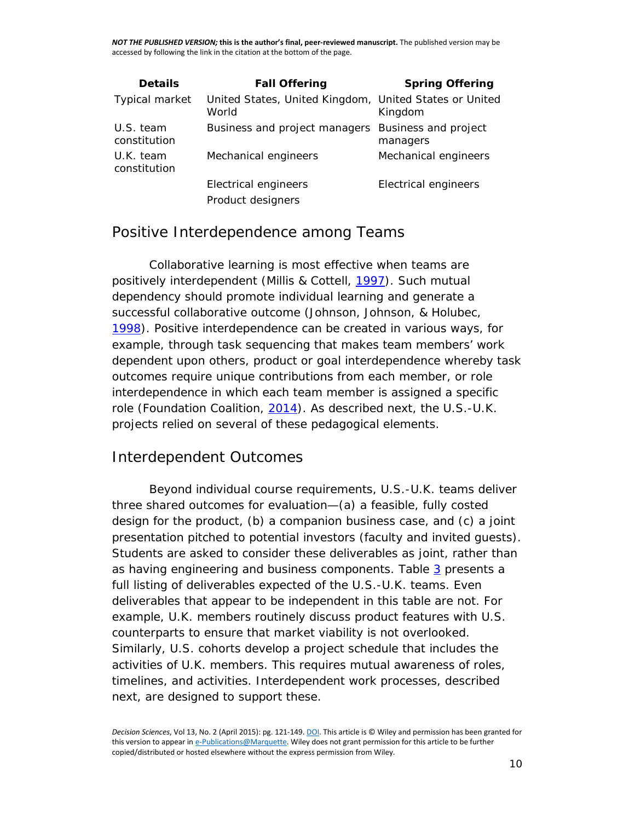| <b>Details</b>            | <b>Fall Offering</b>                                            | <b>Spring Offering</b>           |
|---------------------------|-----------------------------------------------------------------|----------------------------------|
| <b>Typical market</b>     | United States, United Kingdom, United States or United<br>World | Kingdom                          |
| U.S. team<br>constitution | Business and project managers                                   | Business and project<br>managers |
| U.K. team<br>constitution | Mechanical engineers                                            | Mechanical engineers             |
|                           | Electrical engineers                                            | Electrical engineers             |
|                           | Product designers                                               |                                  |

#### *Positive Interdependence among Teams*

Collaborative learning is most effective when teams are positively interdependent (Millis & Cottell, [1997\)](http://onlinelibrary.wiley.com/doi/10.1111/dsji.12058/full#dsji12058-bib-0016). Such mutual dependency should promote individual learning and generate a successful collaborative outcome (Johnson, Johnson, & Holubec, [1998\)](http://onlinelibrary.wiley.com/doi/10.1111/dsji.12058/full#dsji12058-bib-0009). Positive interdependence can be created in various ways, for example, through task sequencing that makes team members' work dependent upon others, product or goal interdependence whereby task outcomes require unique contributions from each member, or role interdependence in which each team member is assigned a specific role (Foundation Coalition, [2014\)](http://onlinelibrary.wiley.com/doi/10.1111/dsji.12058/full#dsji12058-bib-0006). As described next, the U.S.-U.K. projects relied on several of these pedagogical elements.

#### *Interdependent Outcomes*

Beyond individual course requirements, U.S.-U.K. teams deliver three shared outcomes for evaluation—(a) a feasible, fully costed design for the product, (b) a companion business case, and (c) a joint presentation pitched to potential investors (faculty and invited guests). Students are asked to consider these deliverables as joint, rather than as having engineering and business components. Table [3](http://onlinelibrary.wiley.com/doi/10.1111/dsji.12058/full#dsji12058-tbl-0003) presents a full listing of deliverables expected of the U.S.-U.K. teams. Even deliverables that appear to be independent in this table are not. For example, U.K. members routinely discuss product features with U.S. counterparts to ensure that market viability is not overlooked. Similarly, U.S. cohorts develop a project schedule that includes the activities of U.K. members. This requires mutual awareness of roles, timelines, and activities. Interdependent work processes, described next, are designed to support these.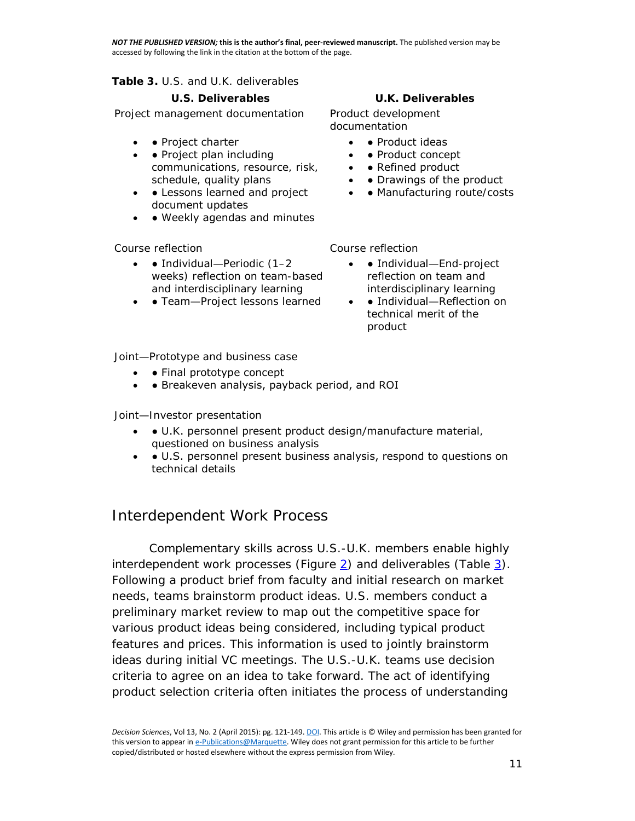**Table 3.** U.S. and U.K. deliverables

Project management documentation Product development

- • Project charter
- • Project plan including communications, resource, risk, schedule, quality plans
- • Lessons learned and project document updates
- • Weekly agendas and minutes

- $\bullet$  **•** Individual—Periodic  $(1-2)$ weeks) reflection on team-based and interdisciplinary learning
- • Team-Project lessons learned

#### **U.S. Deliverables U.K. Deliverables**

documentation

- Product ideas
- • Product concept
- • Refined product
- • Drawings of the product
- • Manufacturing route/costs

Course reflection Course reflection

- • Individual—End-project reflection on team and interdisciplinary learning
- • Individual—Reflection on technical merit of the product

Joint—Prototype and business case

- • Final prototype concept
- • Breakeven analysis, payback period, and ROI

Joint—Investor presentation

- • U.K. personnel present product design/manufacture material, questioned on business analysis
- ● U.S. personnel present business analysis, respond to questions on technical details

#### *Interdependent Work Process*

Complementary skills across U.S.-U.K. members enable highly interdependent work processes (Figure  $2$ ) and deliverables (Table  $3$ ). Following a product brief from faculty and initial research on market needs, teams brainstorm product ideas. U.S. members conduct a preliminary market review to map out the competitive space for various product ideas being considered, including typical product features and prices. This information is used to jointly brainstorm ideas during initial VC meetings. The U.S.-U.K. teams use decision criteria to agree on an idea to take forward. The act of identifying product selection criteria often initiates the process of understanding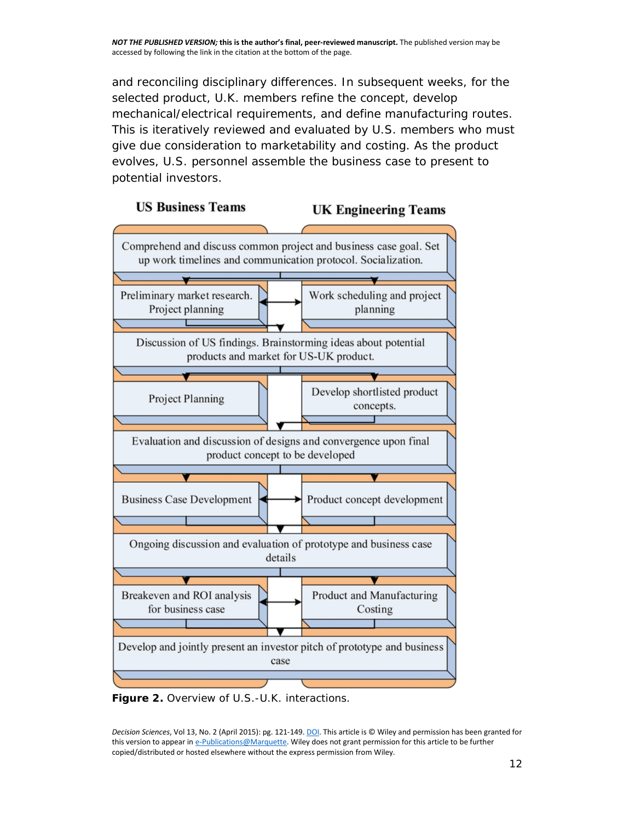and reconciling disciplinary differences. In subsequent weeks, for the selected product, U.K. members refine the concept, develop mechanical/electrical requirements, and define manufacturing routes. This is iteratively reviewed and evaluated by U.S. members who must give due consideration to marketability and costing. As the product evolves, U.S. personnel assemble the business case to present to potential investors.



**Figure 2.** Overview of U.S.-U.K. interactions.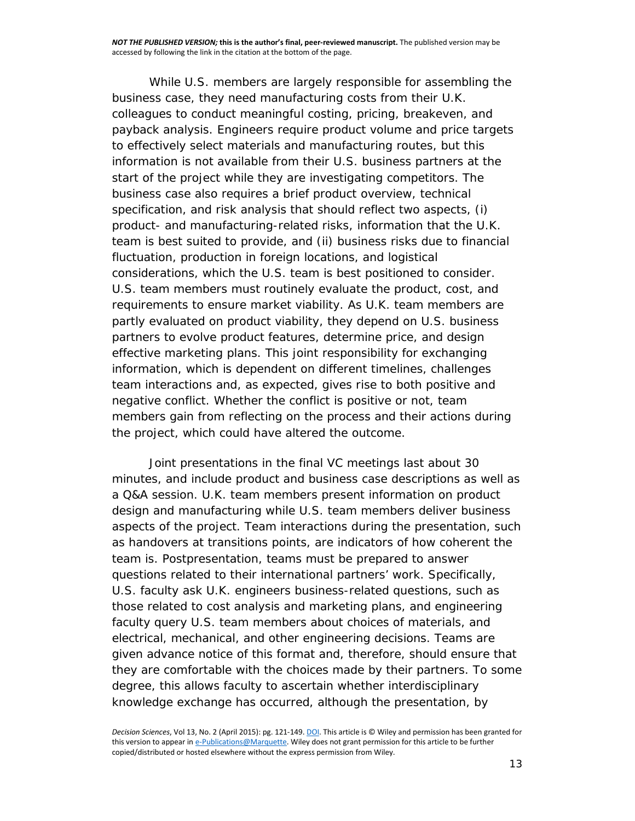While U.S. members are largely responsible for assembling the business case, they need manufacturing costs from their U.K. colleagues to conduct meaningful costing, pricing, breakeven, and payback analysis. Engineers require product volume and price targets to effectively select materials and manufacturing routes, but this information is not available from their U.S. business partners at the start of the project while they are investigating competitors. The business case also requires a brief product overview, technical specification, and risk analysis that should reflect two aspects, (i) product- and manufacturing-related risks, information that the U.K. team is best suited to provide, and (ii) business risks due to financial fluctuation, production in foreign locations, and logistical considerations, which the U.S. team is best positioned to consider. U.S. team members must routinely evaluate the product, cost, and requirements to ensure market viability. As U.K. team members are partly evaluated on product viability, they depend on U.S. business partners to evolve product features, determine price, and design effective marketing plans. This joint responsibility for exchanging information, which is dependent on different timelines, challenges team interactions and, as expected, gives rise to both positive and negative conflict. Whether the conflict is positive or not, team members gain from reflecting on the process and their actions during the project, which could have altered the outcome.

Joint presentations in the final VC meetings last about 30 minutes, and include product and business case descriptions as well as a Q&A session. U.K. team members present information on product design and manufacturing while U.S. team members deliver business aspects of the project. Team interactions during the presentation, such as handovers at transitions points, are indicators of how coherent the team is. Postpresentation, teams must be prepared to answer questions related to their international partners' work. Specifically, U.S. faculty ask U.K. engineers business-related questions, such as those related to cost analysis and marketing plans, and engineering faculty query U.S. team members about choices of materials, and electrical, mechanical, and other engineering decisions. Teams are given advance notice of this format and, therefore, should ensure that they are comfortable with the choices made by their partners. To some degree, this allows faculty to ascertain whether interdisciplinary knowledge exchange has occurred, although the presentation, by

*Decision Sciences*, Vol 13, No. 2 (April 2015): pg. 121-149[. DOI.](https://doi.org/10.1111/dsji.12058) This article is © Wiley and permission has been granted for this version to appear i[n e-Publications@Marquette.](http://epublications.marquette.edu/) Wiley does not grant permission for this article to be further copied/distributed or hosted elsewhere without the express permission from Wiley.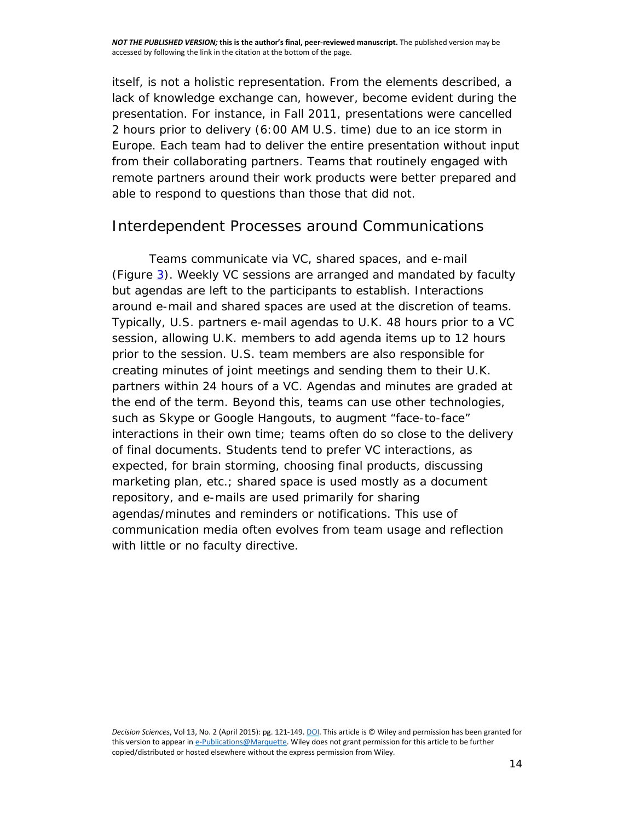itself, is not a holistic representation. From the elements described, a lack of knowledge exchange can, however, become evident during the presentation. For instance, in Fall 2011, presentations were cancelled 2 hours prior to delivery (6:00 AM U.S. time) due to an ice storm in Europe. Each team had to deliver the entire presentation without input from their collaborating partners. Teams that routinely engaged with remote partners around their work products were better prepared and able to respond to questions than those that did not.

#### *Interdependent Processes around Communications*

Teams communicate via VC, shared spaces, and e-mail (Figure [3\)](http://onlinelibrary.wiley.com/doi/10.1111/dsji.12058/full#dsji12058-fig-0003). Weekly VC sessions are arranged and mandated by faculty but agendas are left to the participants to establish. Interactions around e-mail and shared spaces are used at the discretion of teams. Typically, U.S. partners e-mail agendas to U.K. 48 hours prior to a VC session, allowing U.K. members to add agenda items up to 12 hours prior to the session. U.S. team members are also responsible for creating minutes of joint meetings and sending them to their U.K. partners within 24 hours of a VC. Agendas and minutes are graded at the end of the term. Beyond this, teams can use other technologies, such as Skype or Google Hangouts, to augment "face-to-face" interactions in their own time; teams often do so close to the delivery of final documents. Students tend to prefer VC interactions, as expected, for brain storming, choosing final products, discussing marketing plan, etc.; shared space is used mostly as a document repository, and e-mails are used primarily for sharing agendas/minutes and reminders or notifications. This use of communication media often evolves from team usage and reflection with little or no faculty directive.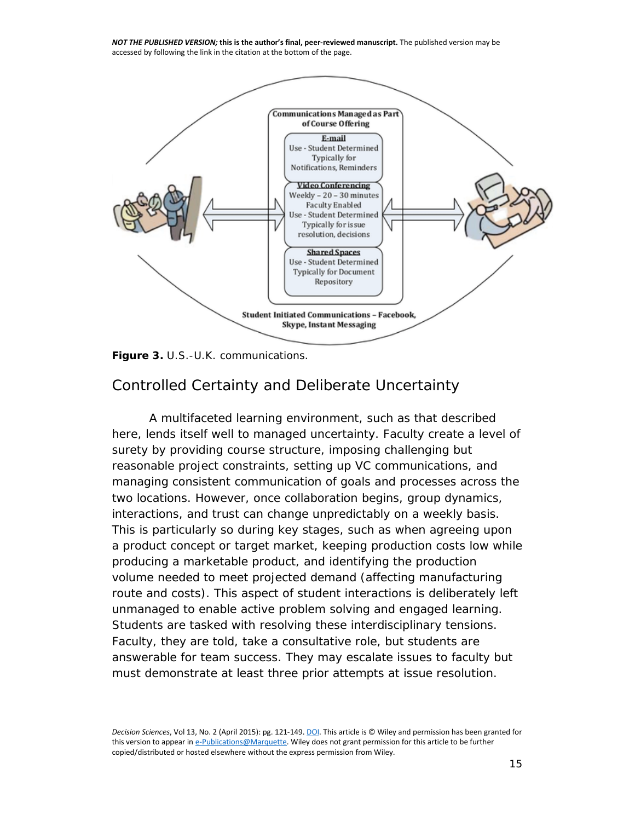

**Figure 3.** U.S.-U.K. communications.

#### *Controlled Certainty and Deliberate Uncertainty*

A multifaceted learning environment, such as that described here, lends itself well to managed uncertainty. Faculty create a level of surety by providing course structure, imposing challenging but reasonable project constraints, setting up VC communications, and managing consistent communication of goals and processes across the two locations. However, once collaboration begins, group dynamics, interactions, and trust can change unpredictably on a weekly basis. This is particularly so during key stages, such as when agreeing upon a product concept or target market, keeping production costs low while producing a marketable product, and identifying the production volume needed to meet projected demand (affecting manufacturing route and costs). This aspect of student interactions is deliberately left unmanaged to enable active problem solving and engaged learning. Students are tasked with resolving these interdisciplinary tensions. Faculty, they are told, take a consultative role, but students are answerable for team success. They may escalate issues to faculty but must demonstrate at least three prior attempts at issue resolution.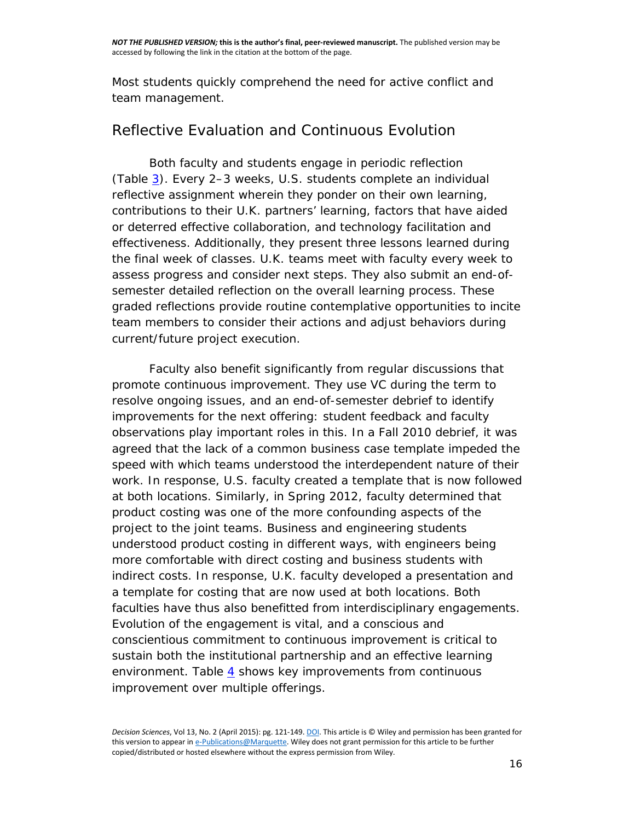Most students quickly comprehend the need for active conflict and team management.

#### *Reflective Evaluation and Continuous Evolution*

Both faculty and students engage in periodic reflection (Table [3\)](http://onlinelibrary.wiley.com/doi/10.1111/dsji.12058/full#dsji12058-tbl-0003). Every 2–3 weeks, U.S. students complete an individual reflective assignment wherein they ponder on their own learning, contributions to their U.K. partners' learning, factors that have aided or deterred effective collaboration, and technology facilitation and effectiveness. Additionally, they present three lessons learned during the final week of classes. U.K. teams meet with faculty every week to assess progress and consider next steps. They also submit an end-ofsemester detailed reflection on the overall learning process. These graded reflections provide routine contemplative opportunities to incite team members to consider their actions and adjust behaviors during current/future project execution.

Faculty also benefit significantly from regular discussions that promote continuous improvement. They use VC during the term to resolve ongoing issues, and an end-of-semester debrief to identify improvements for the next offering: student feedback and faculty observations play important roles in this. In a Fall 2010 debrief, it was agreed that the lack of a common business case template impeded the speed with which teams understood the interdependent nature of their work. In response, U.S. faculty created a template that is now followed at both locations. Similarly, in Spring 2012, faculty determined that product costing was one of the more confounding aspects of the project to the joint teams. Business and engineering students understood product costing in different ways, with engineers being more comfortable with direct costing and business students with indirect costs. In response, U.K. faculty developed a presentation and a template for costing that are now used at both locations. Both faculties have thus also benefitted from interdisciplinary engagements. Evolution of the engagement is vital, and a conscious and conscientious commitment to continuous improvement is critical to sustain both the institutional partnership and an effective learning environment. Table  $\frac{4}{5}$  $\frac{4}{5}$  $\frac{4}{5}$  shows key improvements from continuous improvement over multiple offerings.

*Decision Sciences*, Vol 13, No. 2 (April 2015): pg. 121-149[. DOI.](https://doi.org/10.1111/dsji.12058) This article is © Wiley and permission has been granted for this version to appear i[n e-Publications@Marquette.](http://epublications.marquette.edu/) Wiley does not grant permission for this article to be further copied/distributed or hosted elsewhere without the express permission from Wiley.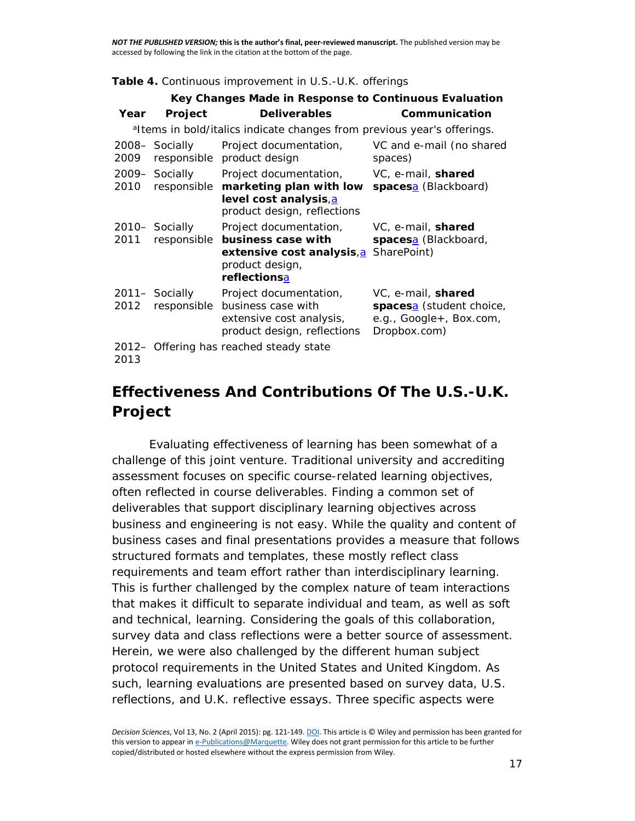#### **Table 4.** Continuous improvement in U.S.-U.K. offerings

| Key Changes Made in Response to Continuous Evaluation |                |                                                                                                                                                                                                         |                                                                                                       |  |  |
|-------------------------------------------------------|----------------|---------------------------------------------------------------------------------------------------------------------------------------------------------------------------------------------------------|-------------------------------------------------------------------------------------------------------|--|--|
| Year                                                  | <b>Project</b> | <b>Deliverables</b>                                                                                                                                                                                     | Communication                                                                                         |  |  |
|                                                       |                | <sup>a</sup> ltems in bold/italics indicate changes from previous year's offerings.                                                                                                                     |                                                                                                       |  |  |
| 2009                                                  | 2008– Socially | Project documentation,<br>responsible product design                                                                                                                                                    | VC and e-mail (no shared<br>spaces)                                                                   |  |  |
| 2010                                                  |                | 2009– Socially Project documentation, VC, e-mail, <b>shared</b><br>responsible <i>marketing plan with low spaces</i> <sup>2</sup> (Blackboard)<br>level cost analysis, a<br>product design, reflections |                                                                                                       |  |  |
| 2011                                                  | 2010- Socially | Project documentation,<br>responsible business case with<br>extensive cost analysis, a SharePoint)<br>product design,<br>reflectionsa                                                                   | VC, e-mail, <b>shared</b><br>spacesa (Blackboard,                                                     |  |  |
| 2012                                                  |                | 2011– Socially Project documentation,<br>responsible business case with<br>extensive cost analysis,<br>product design, reflections                                                                      | VC, e-mail, shared<br>spaces <sup>a</sup> (student choice,<br>e.g., Google+, Box.com,<br>Dropbox.com) |  |  |
| 2013                                                  |                | 2012- Offering has reached steady state                                                                                                                                                                 |                                                                                                       |  |  |

## **Effectiveness And Contributions Of The U.S.-U.K. Project**

Evaluating effectiveness of learning has been somewhat of a challenge of this joint venture. Traditional university and accrediting assessment focuses on specific course-related learning objectives, often reflected in course deliverables. Finding a common set of deliverables that support disciplinary learning objectives across business and engineering is not easy. While the quality and content of business cases and final presentations provides a measure that follows structured formats and templates, these mostly reflect class requirements and team effort rather than interdisciplinary *learning*. This is further challenged by the complex nature of team interactions that makes it difficult to separate individual and team, as well as soft and technical, learning. Considering the goals of this collaboration, survey data and class reflections were a better source of assessment. Herein, we were also challenged by the different human subject protocol requirements in the United States and United Kingdom. As such, learning evaluations are presented based on survey data, U.S. reflections, and U.K. reflective essays. Three specific aspects were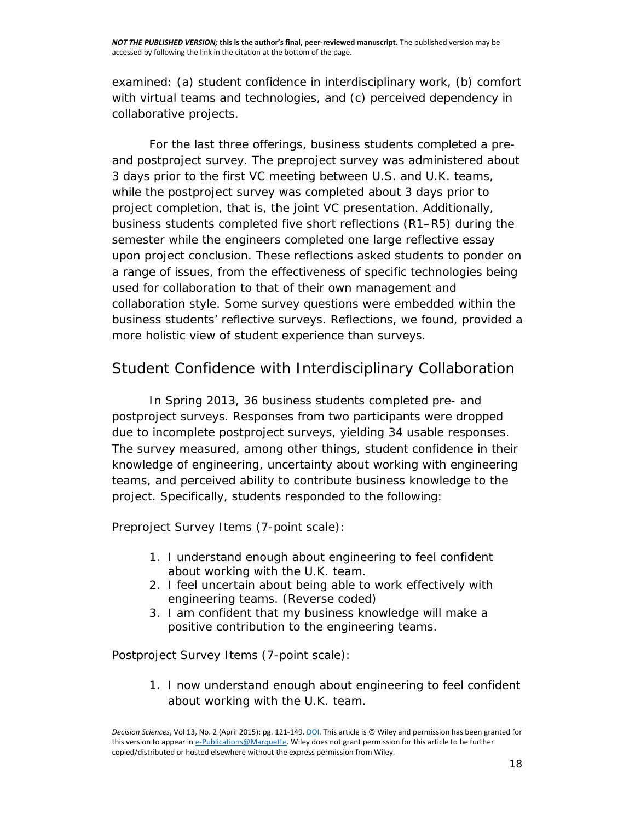examined: (a) student confidence in interdisciplinary work, (b) comfort with virtual teams and technologies, and (c) perceived dependency in collaborative projects.

For the last three offerings, business students completed a preand postproject survey. The preproject survey was administered about 3 days prior to the first VC meeting between U.S. and U.K. teams, while the postproject survey was completed about 3 days prior to project completion, that is, the joint VC presentation. Additionally, business students completed five short reflections (R1–R5) during the semester while the engineers completed one large reflective essay upon project conclusion. These reflections asked students to ponder on a range of issues, from the effectiveness of specific technologies being used for collaboration to that of their own management and collaboration style. Some survey questions were embedded within the business students' reflective surveys. Reflections, we found, provided a more holistic view of student experience than surveys.

#### *Student Confidence with Interdisciplinary Collaboration*

In Spring 2013, 36 business students completed pre- and postproject surveys. Responses from two participants were dropped due to incomplete postproject surveys, yielding 34 usable responses. The survey measured, among other things, student confidence in their knowledge of engineering, uncertainty about working with engineering teams, and perceived ability to contribute business knowledge to the project. Specifically, students responded to the following:

#### *Preproject Survey Items (7-point scale)*:

- 1. I understand enough about engineering to feel confident about working with the U.K. team.
- 2. I feel uncertain about being able to work effectively with engineering teams. (Reverse coded)
- 3. I am confident that my business knowledge will make a positive contribution to the engineering teams.

#### *Postproject Survey Items (7-point scale)*:

1. I now understand enough about engineering to feel confident about working with the U.K. team.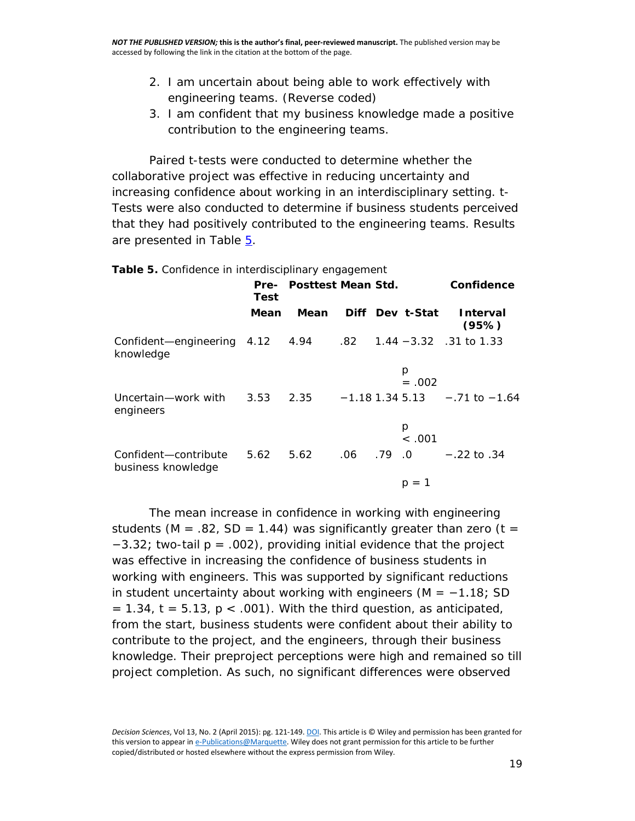- 2. I am uncertain about being able to work effectively with engineering teams. (Reverse coded)
- 3. I am confident that my business knowledge made a positive contribution to the engineering teams.

Paired *t*-tests were conducted to determine whether the collaborative project was effective in reducing uncertainty and increasing confidence about working in an interdisciplinary setting. *t*-Tests were also conducted to determine if business students perceived that they had positively contributed to the engineering teams. Results are presented in Table [5.](http://onlinelibrary.wiley.com/doi/10.1111/dsji.12058/full#dsji12058-tbl-0005)

**Table 5.** Confidence in interdisciplinary engagement

|                                                                                   | Test | Pre- Posttest Mean Std. |  |  |                 | Confidence                       |
|-----------------------------------------------------------------------------------|------|-------------------------|--|--|-----------------|----------------------------------|
|                                                                                   | Mean | Mean                    |  |  | Diff Dev t-Stat | <b>Interval</b><br>(95%)         |
| Confident-engineering 4.12 4.94 .82 1.44 -3.32 .31 to 1.33<br>knowledge           |      |                         |  |  |                 |                                  |
|                                                                                   |      |                         |  |  | p<br>$=.002$    |                                  |
| Uncertain-work with $3.53$ $2.35$ $-1.18$ 1.34 5.13 $-71$ to $-1.64$<br>engineers |      |                         |  |  |                 |                                  |
|                                                                                   |      |                         |  |  | p<br>< .001     |                                  |
| Confident-contribute<br>business knowledge                                        |      | 5.62 5.62               |  |  |                 | $.06$ $.79$ $.0$ $-.22$ to $.34$ |
|                                                                                   |      |                         |  |  | $p = 1$         |                                  |

The mean increase in confidence in working with engineering students ( $M = .82$ ,  $SD = 1.44$ ) was significantly greater than zero ( $t =$ −3.32; two-tail *p* = .002), providing initial evidence that the project was effective in increasing the confidence of business students in working with engineers. This was supported by significant reductions in student uncertainty about working with engineers (*M* = −1.18; *SD*  $= 1.34$ ,  $t = 5.13$ ,  $p < .001$ ). With the third question, as anticipated, from the start, business students were confident about their ability to contribute to the project, and the engineers, through their business knowledge. Their preproject perceptions were high and remained so till project completion. As such, no significant differences were observed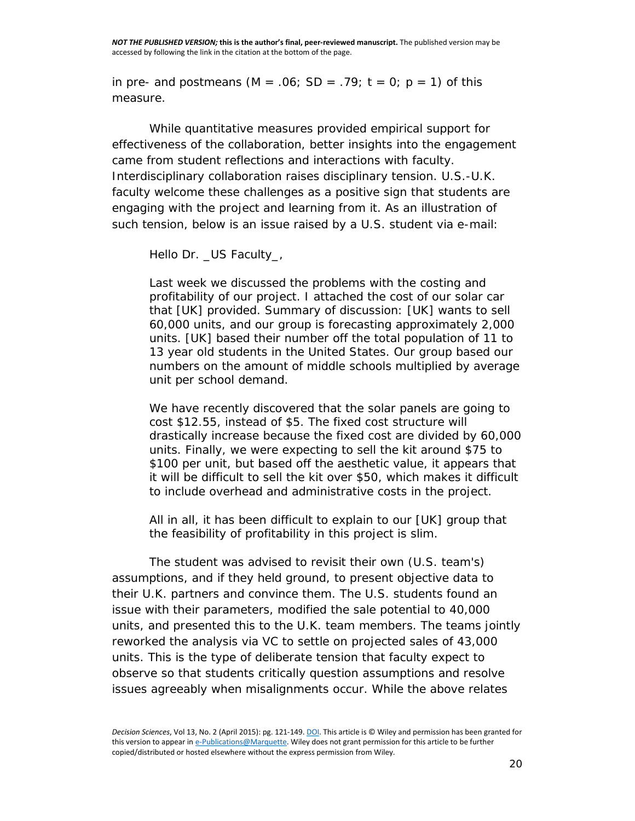in pre- and postmeans  $(M = .06; SD = .79; t = 0; p = 1)$  of this measure.

While quantitative measures provided empirical support for effectiveness of the collaboration, better insights into the engagement came from student reflections and interactions with faculty. Interdisciplinary collaboration raises disciplinary tension. U.S.-U.K. faculty welcome these challenges as a positive sign that students are engaging with the project and learning from it. As an illustration of such tension, below is an issue raised by a U.S. student via e-mail:

#### *Hello Dr. \_US Faculty\_*,

*Last week we discussed the problems with the costing and profitability of our project. I attached the cost of our solar car that [UK] provided. Summary of discussion: [UK] wants to sell 60,000 units, and our group is forecasting approximately 2,000 units. [UK] based their number off the total population of 11 to 13 year old students in the United States. Our group based our numbers on the amount of middle schools multiplied by average unit per school demand*.

*We have recently discovered that the solar panels are going to cost \$12.55, instead of \$5. The fixed cost structure will drastically increase because the fixed cost are divided by 60,000 units. Finally, we were expecting to sell the kit around \$75 to \$100 per unit, but based off the aesthetic value, it appears that it will be difficult to sell the kit over \$50, which makes it difficult to include overhead and administrative costs in the project*.

*All in all, it has been difficult to explain to our [UK] group that the feasibility of profitability in this project is slim*.

The student was advised to revisit their own (U.S. team's) assumptions, and if they held ground, to present objective data to their U.K. partners and convince them. The U.S. students found an issue with their parameters, modified the sale potential to 40,000 units, and presented this to the U.K. team members. The teams jointly reworked the analysis via VC to settle on projected sales of 43,000 units. This is the type of deliberate tension that faculty expect to observe so that students critically question assumptions and resolve issues agreeably when misalignments occur. While the above relates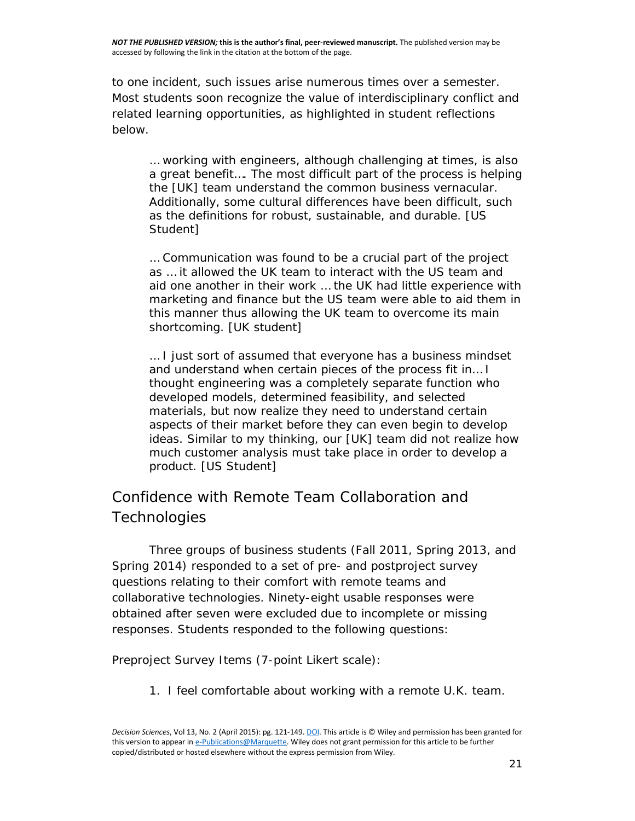to one incident, such issues arise numerous times over a semester. Most students soon recognize the value of interdisciplinary conflict and related learning opportunities, as highlighted in student reflections below.

*… working with engineers, although challenging at times, is also a great benefit…. The most difficult part of the process is helping the [UK] team understand the common business vernacular. Additionally, some cultural differences have been difficult, such as the definitions for robust, sustainable, and durable. [US Student]*

*… Communication was found to be a crucial part of the project as … it allowed the UK team to interact with the US team and aid one another in their work … the UK had little experience with marketing and finance but the US team were able to aid them in this manner thus allowing the UK team to overcome its main shortcoming. [UK student]*

*… I just sort of assumed that everyone has a business mindset and understand when certain pieces of the process fit in… I thought engineering was a completely separate function who developed models, determined feasibility, and selected materials, but now realize they need to understand certain aspects of their market before they can even begin to develop ideas. Similar to my thinking, our [UK] team did not realize how much customer analysis must take place in order to develop a product. [US Student]*

## *Confidence with Remote Team Collaboration and Technologies*

Three groups of business students (Fall 2011, Spring 2013, and Spring 2014) responded to a set of pre- and postproject survey questions relating to their comfort with remote teams and collaborative technologies. Ninety-eight usable responses were obtained after seven were excluded due to incomplete or missing responses. Students responded to the following questions:

*Preproject Survey Items (7-point Likert scale)*:

1. I feel comfortable about working with a remote U.K. team.

*Decision Sciences*, Vol 13, No. 2 (April 2015): pg. 121-149[. DOI.](https://doi.org/10.1111/dsji.12058) This article is © Wiley and permission has been granted for this version to appear i[n e-Publications@Marquette.](http://epublications.marquette.edu/) Wiley does not grant permission for this article to be further copied/distributed or hosted elsewhere without the express permission from Wiley.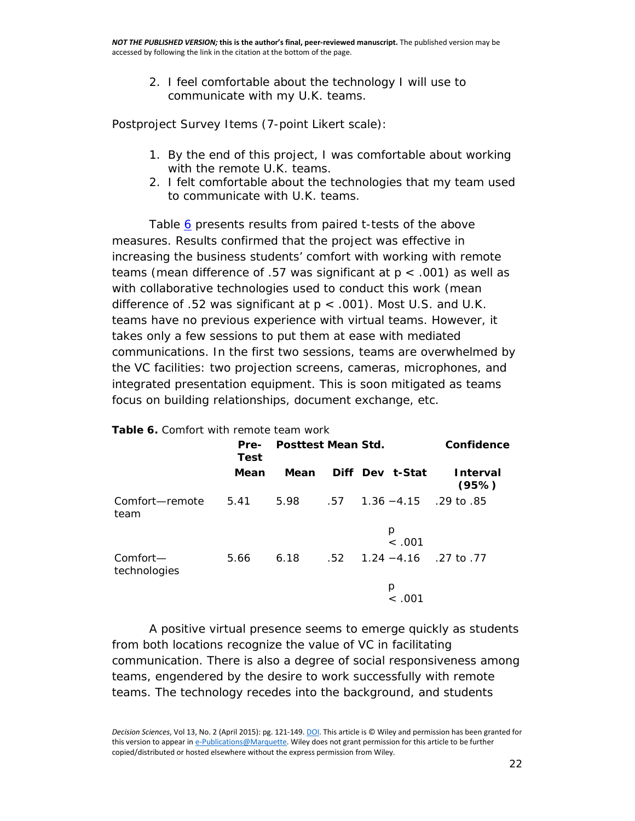2. I feel comfortable about the technology I will use to communicate with my U.K. teams.

*Postproject Survey Items (7-point Likert scale)*:

- 1. By the end of this project, I was comfortable about working with the remote U.K. teams.
- 2. I felt comfortable about the technologies that my team used to communicate with U.K. teams.

Table [6](http://onlinelibrary.wiley.com/doi/10.1111/dsji.12058/full#dsji12058-tbl-0006) presents results from paired *t*-tests of the above measures. Results confirmed that the project was effective in increasing the business students' comfort with working with remote teams (mean difference of .57 was significant at *p* < .001) as well as with collaborative technologies used to conduct this work (mean difference of .52 was significant at *p* < .001). Most U.S. and U.K. teams have no previous experience with virtual teams. However, it takes only a few sessions to put them at ease with mediated communications. In the first two sessions, teams are overwhelmed by the VC facilities: two projection screens, cameras, microphones, and integrated presentation equipment. This is soon mitigated as teams focus on building relationships, document exchange, etc.

| <b>Table 6.</b> Comfort with remote team work |              |                    |  |                                               |                          |  |
|-----------------------------------------------|--------------|--------------------|--|-----------------------------------------------|--------------------------|--|
|                                               | Pre-<br>Test | Posttest Mean Std. |  |                                               | Confidence               |  |
|                                               | Mean         | Mean               |  | Diff Dev t-Stat                               | <b>Interval</b><br>(95%) |  |
| Comfort—remote<br>team                        |              |                    |  | $5.41$ $5.98$ $57$ $1.36 - 4.15$ $29$ to $85$ |                          |  |
|                                               |              |                    |  | p<br>< .001                                   |                          |  |
| Comfort—<br>technologies                      | 5.66         |                    |  | 6.18 $.52$ 1.24 $-4.16$ .27 to .77            |                          |  |
|                                               |              |                    |  | р<br>< .ດດ1                                   |                          |  |

A positive virtual presence seems to emerge quickly as students from both locations recognize the value of VC in facilitating communication. There is also a degree of social responsiveness among teams, engendered by the desire to work successfully with remote teams. The technology recedes into the background, and students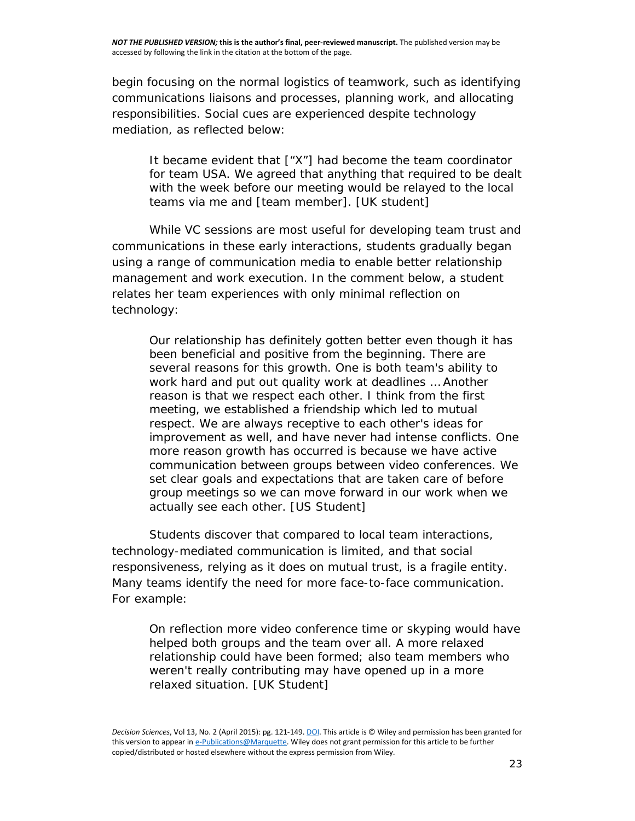begin focusing on the normal logistics of teamwork, such as identifying communications liaisons and processes, planning work, and allocating responsibilities. Social cues are experienced despite technology mediation, as reflected below:

*It became evident that ["X"] had become the team coordinator*  for team USA. We agreed that anything that required to be dealt *with the week before our meeting would be relayed to the local teams via me and [team member]. [UK student]*

While VC sessions are most useful for developing team trust and communications in these early interactions, students gradually began using a range of communication media to enable better relationship management and work execution. In the comment below, a student relates her team experiences with only minimal reflection on technology:

*Our relationship has definitely gotten better even though it has been beneficial and positive from the beginning. There are several reasons for this growth. One is both team's ability to work hard and put out quality work at deadlines … Another reason is that we respect each other. I think from the first meeting, we established a friendship which led to mutual respect. We are always receptive to each other's ideas for improvement as well, and have never had intense conflicts. One more reason growth has occurred is because we have active communication between groups between video conferences. We set clear goals and expectations that are taken care of before group meetings so we can move forward in our work when we actually see each other. [US Student]*

Students discover that compared to local team interactions, technology-mediated communication is limited, and that social responsiveness, relying as it does on mutual trust, is a fragile entity. Many teams identify the need for more face-to-face communication. For example:

*On reflection more video conference time or skyping would have helped both groups and the team over all. A more relaxed relationship could have been formed; also team members who weren't really contributing may have opened up in a more relaxed situation. [UK Student]*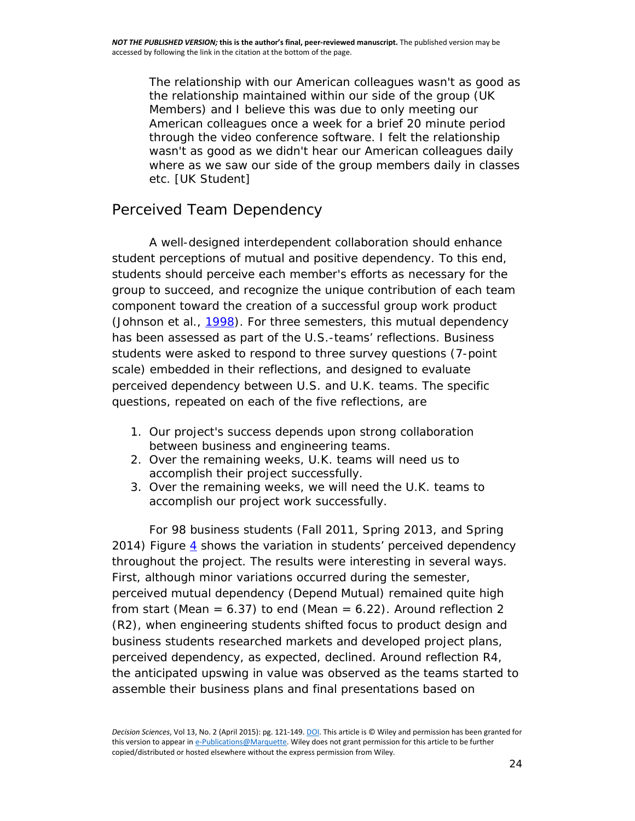*The relationship with our American colleagues wasn't as good as the relationship maintained within our side of the group (UK Members) and I believe this was due to only meeting our American colleagues once a week for a brief 20 minute period through the video conference software. I felt the relationship wasn't as good as we didn't hear our American colleagues daily where as we saw our side of the group members daily in classes etc. [UK Student]*

#### *Perceived Team Dependency*

A well-designed interdependent collaboration should enhance student perceptions of mutual and positive dependency. To this end, students should perceive each member's efforts as necessary for the group to succeed, and recognize the unique contribution of each team component toward the creation of a successful group work product (Johnson et al., [1998\)](http://onlinelibrary.wiley.com/doi/10.1111/dsji.12058/full#dsji12058-bib-0009). For three semesters, this mutual dependency has been assessed as part of the U.S.-teams' reflections. Business students were asked to respond to three survey questions (7-point scale) embedded in their reflections, and designed to evaluate perceived dependency between U.S. and U.K. teams. The specific questions, repeated on each of the five reflections, are

- 1. Our project's success depends upon strong collaboration between business and engineering teams.
- 2. Over the remaining weeks, U.K. teams will need us to accomplish their project successfully.
- 3. Over the remaining weeks, we will need the U.K. teams to accomplish our project work successfully.

For 98 business students (Fall 2011, Spring 2013, and Spring 201[4](http://onlinelibrary.wiley.com/doi/10.1111/dsji.12058/full#dsji12058-fig-0004)) Figure  $\frac{4}{3}$  shows the variation in students' perceived dependency throughout the project. The results were interesting in several ways. First, although minor variations occurred during the semester, perceived mutual dependency (*Depend Mutual*) remained quite high from start (Mean =  $6.37$ ) to end (Mean =  $6.22$ ). Around reflection 2 (R2), when engineering students shifted focus to product design and business students researched markets and developed project plans, perceived dependency, as expected, declined. Around reflection R4, the anticipated upswing in value was observed as the teams started to assemble their business plans and final presentations based on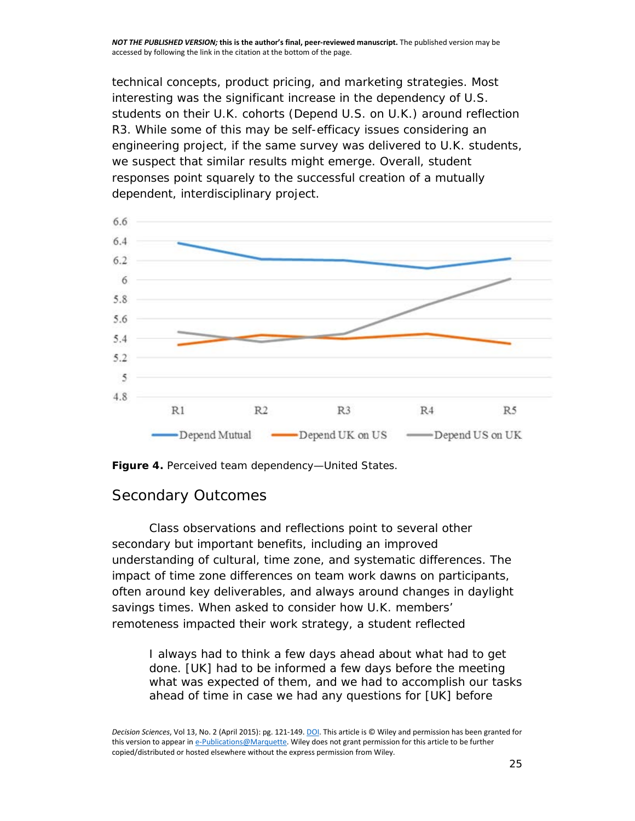technical concepts, product pricing, and marketing strategies. Most interesting was the significant increase in the dependency of U.S. students on their U.K. cohorts (*Depend U.S. on U.K*.) around reflection R3. While some of this may be self-efficacy issues considering an engineering project, if the same survey was delivered to U.K. students, we suspect that similar results might emerge. Overall, student responses point squarely to the successful creation of a mutually dependent, interdisciplinary project.



**Figure 4.** Perceived team dependency—United States.

#### *Secondary Outcomes*

Class observations and reflections point to several other secondary but important benefits, including an improved understanding of cultural, time zone, and systematic differences. The impact of time zone differences on team work dawns on participants, often around key deliverables, and always around changes in daylight savings times. When asked to consider how U.K. members' remoteness impacted their work strategy, a student reflected

*I always had to think a few days ahead about what had to get done. [UK] had to be informed a few days before the meeting what was expected of them, and we had to accomplish our tasks ahead of time in case we had any questions for [UK] before*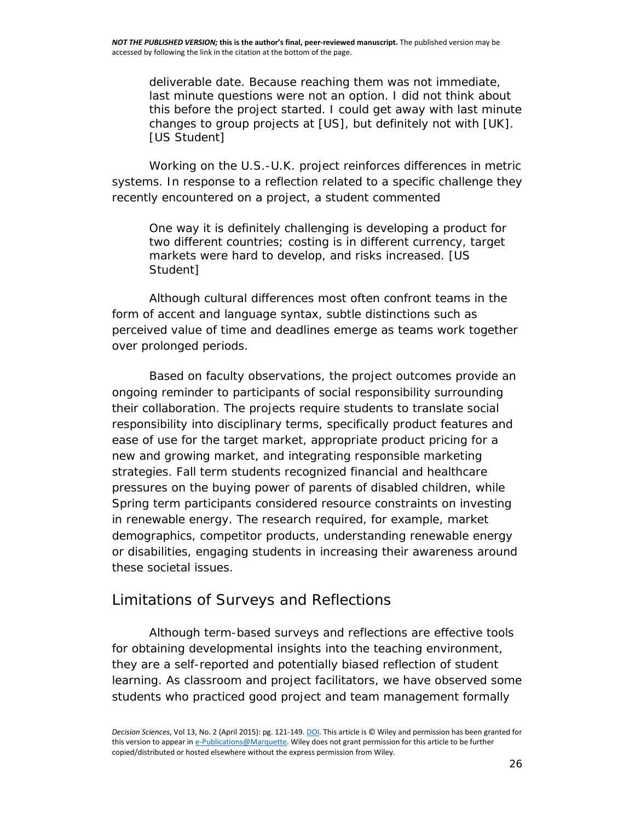*deliverable date. Because reaching them was not immediate, last minute questions were not an option. I did not think about this before the project started. I could get away with last minute changes to group projects at [US], but definitely not with [UK]. [US Student]*

Working on the U.S.-U.K. project reinforces differences in metric systems. In response to a reflection related to a specific challenge they recently encountered on a project, a student commented

*One way it is definitely challenging is developing a product for two different countries; costing is in different currency, target markets were hard to develop, and risks increased. [US Student]*

Although cultural differences most often confront teams in the form of accent and language syntax, subtle distinctions such as perceived value of time and deadlines emerge as teams work together over prolonged periods.

Based on faculty observations, the project outcomes provide an ongoing reminder to participants of social responsibility surrounding their collaboration. The projects require students to translate social responsibility into disciplinary terms, specifically product features and ease of use for the target market, appropriate product pricing for a new and growing market, and integrating responsible marketing strategies. Fall term students recognized financial and healthcare pressures on the buying power of parents of disabled children, while Spring term participants considered resource constraints on investing in renewable energy. The research required, for example, market demographics, competitor products, understanding renewable energy or disabilities, engaging students in increasing their awareness around these societal issues.

#### *Limitations of Surveys and Reflections*

Although term-based surveys and reflections are effective tools for obtaining developmental insights into the teaching environment, they are a self-reported and potentially biased reflection of student learning. As classroom and project facilitators, we have observed some students who practiced good project and team management formally

*Decision Sciences*, Vol 13, No. 2 (April 2015): pg. 121-149[. DOI.](https://doi.org/10.1111/dsji.12058) This article is © Wiley and permission has been granted for this version to appear i[n e-Publications@Marquette.](http://epublications.marquette.edu/) Wiley does not grant permission for this article to be further copied/distributed or hosted elsewhere without the express permission from Wiley.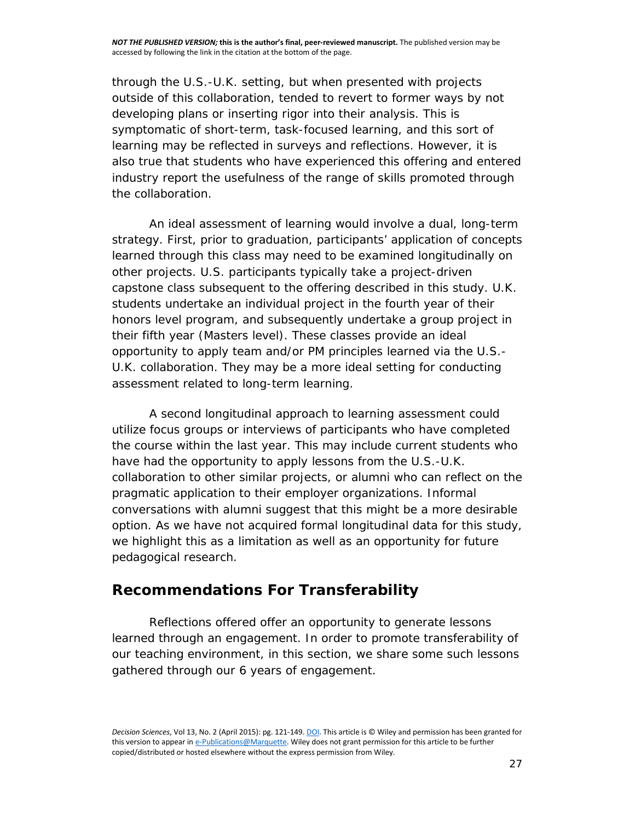through the U.S.-U.K. setting, but when presented with projects outside of this collaboration, tended to revert to former ways by not developing plans or inserting rigor into their analysis. This is symptomatic of short-term, task-focused learning, and this sort of learning may be reflected in surveys and reflections. However, it is also true that students who have experienced this offering and entered industry report the usefulness of the range of skills promoted through the collaboration.

An ideal assessment of learning would involve a dual, long-term strategy. First, prior to graduation, participants' application of concepts learned through this class may need to be examined longitudinally on other projects. U.S. participants typically take a project-driven capstone class subsequent to the offering described in this study. U.K. students undertake an individual project in the fourth year of their honors level program, and subsequently undertake a group project in their fifth year (Masters level). These classes provide an ideal opportunity to apply team and/or PM principles learned via the U.S.- U.K. collaboration. They may be a more ideal setting for conducting assessment related to long-term learning.

A second longitudinal approach to learning assessment could utilize focus groups or interviews of participants who have completed the course within the last year. This may include current students who have had the opportunity to apply lessons from the U.S.-U.K. collaboration to other similar projects, or alumni who can reflect on the pragmatic application to their employer organizations. Informal conversations with alumni suggest that this might be a more desirable option. As we have not acquired formal longitudinal data for this study, we highlight this as a limitation as well as an opportunity for future pedagogical research.

#### **Recommendations For Transferability**

Reflections offered offer an opportunity to generate lessons learned through an engagement. In order to promote transferability of our teaching environment, in this section, we share some such lessons gathered through our 6 years of engagement.

*Decision Sciences*, Vol 13, No. 2 (April 2015): pg. 121-149[. DOI.](https://doi.org/10.1111/dsji.12058) This article is © Wiley and permission has been granted for this version to appear i[n e-Publications@Marquette.](http://epublications.marquette.edu/) Wiley does not grant permission for this article to be further copied/distributed or hosted elsewhere without the express permission from Wiley.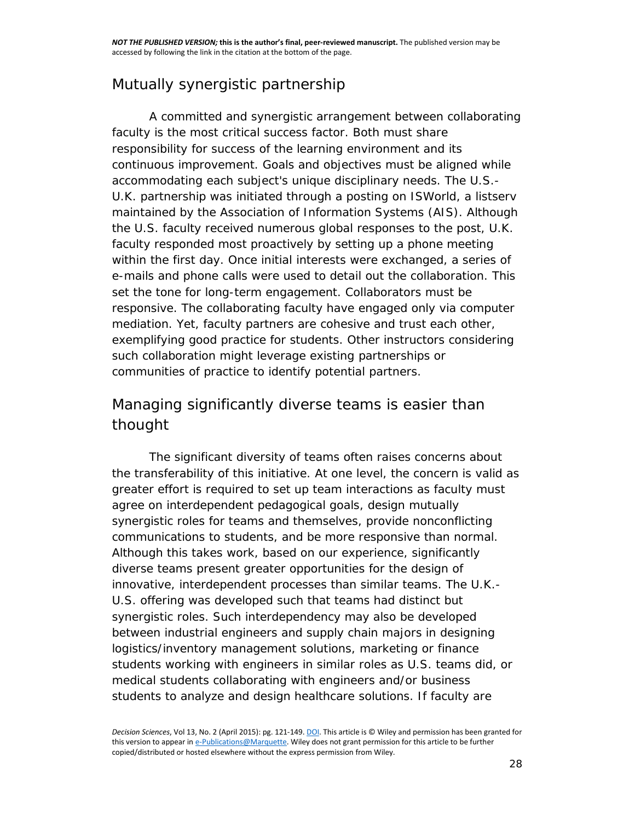## *Mutually synergistic partnership*

A committed and synergistic arrangement between collaborating faculty is the most critical success factor. Both must share responsibility for success of the learning environment and its continuous improvement. Goals and objectives must be aligned while accommodating each subject's unique disciplinary needs. The U.S.- U.K. partnership was initiated through a posting on ISWorld, a listserv maintained by the Association of Information Systems (AIS). Although the U.S. faculty received numerous global responses to the post, U.K. faculty responded most proactively by setting up a phone meeting within the first day. Once initial interests were exchanged, a series of e-mails and phone calls were used to detail out the collaboration. This set the tone for long-term engagement. Collaborators must be responsive. The collaborating faculty have engaged only via computer mediation. Yet, faculty partners are cohesive and trust each other, exemplifying good practice for students. Other instructors considering such collaboration might leverage existing partnerships or communities of practice to identify potential partners.

## *Managing significantly diverse teams is easier than thought*

The significant diversity of teams often raises concerns about the transferability of this initiative. At one level, the concern is valid as greater effort is required to set up team interactions as faculty must agree on interdependent pedagogical goals, design mutually synergistic roles for teams and themselves, provide nonconflicting communications to students, and be more responsive than normal. Although this takes work, based on our experience, significantly diverse teams present greater opportunities for the design of innovative, interdependent processes than similar teams. The U.K.- U.S. offering was developed such that teams had distinct but synergistic roles. Such interdependency may also be developed between industrial engineers and supply chain majors in designing logistics/inventory management solutions, marketing or finance students working with engineers in similar roles as U.S. teams did, or medical students collaborating with engineers and/or business students to analyze and design healthcare solutions. If faculty are

*Decision Sciences*, Vol 13, No. 2 (April 2015): pg. 121-149[. DOI.](https://doi.org/10.1111/dsji.12058) This article is © Wiley and permission has been granted for this version to appear i[n e-Publications@Marquette.](http://epublications.marquette.edu/) Wiley does not grant permission for this article to be further copied/distributed or hosted elsewhere without the express permission from Wiley.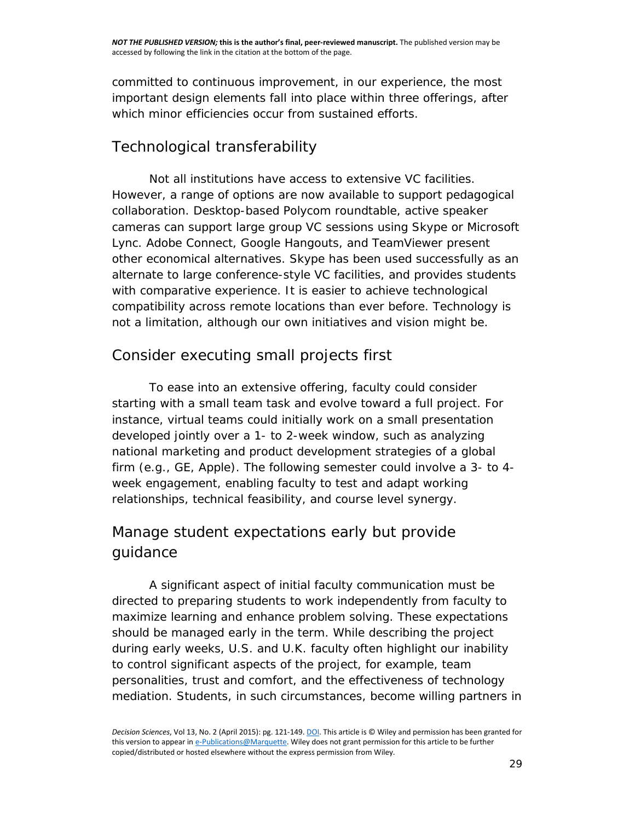committed to continuous improvement, in our experience, the most important design elements fall into place within three offerings, after which minor efficiencies occur from sustained efforts.

## *Technological transferability*

Not all institutions have access to extensive VC facilities. However, a range of options are now available to support pedagogical collaboration. Desktop-based Polycom roundtable, active speaker cameras can support large group VC sessions using Skype or Microsoft Lync. Adobe Connect, Google Hangouts, and TeamViewer present other economical alternatives. Skype has been used successfully as an alternate to large conference-style VC facilities, and provides students with comparative experience. It is easier to achieve technological compatibility across remote locations than ever before. Technology is not a limitation, although our own initiatives and vision might be.

## *Consider executing small projects first*

To ease into an extensive offering, faculty could consider starting with a small team task and evolve toward a full project. For instance, virtual teams could initially work on a small presentation developed jointly over a 1- to 2-week window, such as analyzing national marketing and product development strategies of a global firm (e.g., GE, Apple). The following semester could involve a 3- to 4 week engagement, enabling faculty to test and adapt working relationships, technical feasibility, and course level synergy.

## *Manage student expectations early but provide guidance*

A significant aspect of initial faculty communication must be directed to preparing students to work independently from faculty to maximize learning and enhance problem solving. These expectations should be managed early in the term. While describing the project during early weeks, U.S. and U.K. faculty often highlight our inability to control significant aspects of the project, for example, team personalities, trust and comfort, and the effectiveness of technology mediation. Students, in such circumstances, become willing partners in

*Decision Sciences*, Vol 13, No. 2 (April 2015): pg. 121-149[. DOI.](https://doi.org/10.1111/dsji.12058) This article is © Wiley and permission has been granted for this version to appear i[n e-Publications@Marquette.](http://epublications.marquette.edu/) Wiley does not grant permission for this article to be further copied/distributed or hosted elsewhere without the express permission from Wiley.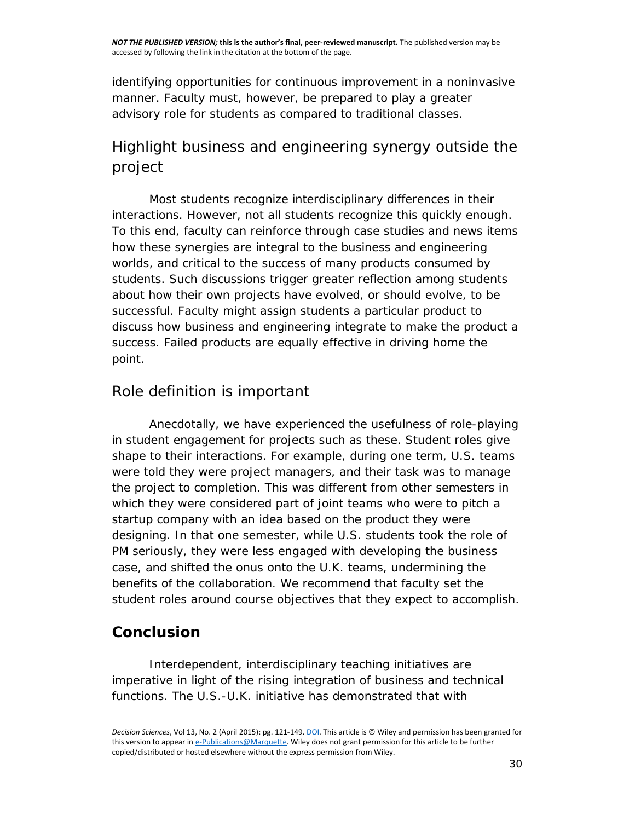identifying opportunities for continuous improvement in a noninvasive manner. Faculty must, however, be prepared to play a greater advisory role for students as compared to traditional classes.

## *Highlight business and engineering synergy outside the project*

Most students recognize interdisciplinary differences in their interactions. However, not all students recognize this quickly enough. To this end, faculty can reinforce through case studies and news items how these synergies are integral to the business and engineering worlds, and critical to the success of many products consumed by students. Such discussions trigger greater reflection among students about how their own projects have evolved, or should evolve, to be successful. Faculty might assign students a particular product to discuss how business and engineering integrate to make the product a success. Failed products are equally effective in driving home the point.

#### *Role definition is important*

Anecdotally, we have experienced the usefulness of role-playing in student engagement for projects such as these. Student roles give shape to their interactions. For example, during one term, U.S. teams were told they were project managers, and their task was to manage the project to completion. This was different from other semesters in which they were considered part of joint teams who were to pitch a startup company with an idea based on the product they were designing. In that one semester, while U.S. students took the role of PM seriously, they were less engaged with developing the business case, and shifted the onus onto the U.K. teams, undermining the benefits of the collaboration. We recommend that faculty set the student roles around course objectives that they expect to accomplish.

### **Conclusion**

Interdependent, interdisciplinary teaching initiatives are imperative in light of the rising integration of business and technical functions. The U.S.-U.K. initiative has demonstrated that with

*Decision Sciences*, Vol 13, No. 2 (April 2015): pg. 121-149[. DOI.](https://doi.org/10.1111/dsji.12058) This article is © Wiley and permission has been granted for this version to appear i[n e-Publications@Marquette.](http://epublications.marquette.edu/) Wiley does not grant permission for this article to be further copied/distributed or hosted elsewhere without the express permission from Wiley.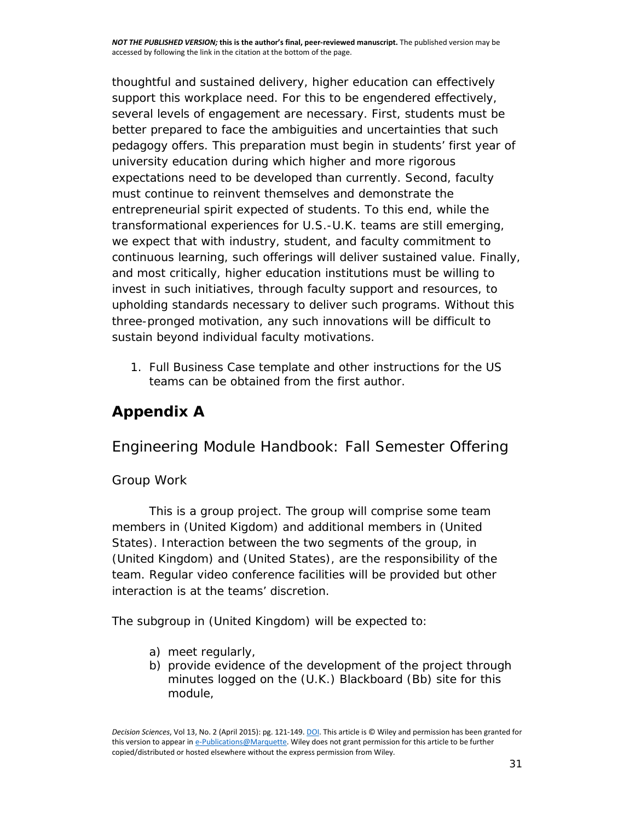thoughtful and sustained delivery, higher education can effectively support this workplace need. For this to be engendered effectively, several levels of engagement are necessary. First, students must be better prepared to face the ambiguities and uncertainties that such pedagogy offers. This preparation must begin in students' first year of university education during which higher and more rigorous expectations need to be developed than currently. Second, faculty must continue to reinvent themselves and demonstrate the entrepreneurial spirit expected of students. To this end, while the transformational experiences for U.S.-U.K. teams are still emerging, we expect that with industry, student, and faculty commitment to continuous learning, such offerings will deliver sustained value. Finally, and most critically, higher education institutions must be willing to invest in such initiatives, through faculty support and resources, to upholding standards necessary to deliver such programs. Without this three-pronged motivation, any such innovations will be difficult to sustain beyond individual faculty motivations.

1. Full Business Case template and other instructions for the US teams can be obtained from the first author.

## **Appendix A**

### *Engineering Module Handbook: Fall Semester Offering*

#### *Group Work*

This is a group project. The group will comprise some team members in (United Kigdom) and additional members in (United States). Interaction between the two segments of the group, in (United Kingdom) and (United States), are the responsibility of the team. Regular video conference facilities will be provided but other interaction is at the teams' discretion.

The subgroup in (United Kingdom) will be expected to:

- a) meet regularly,
- b) provide evidence of the development of the project through minutes logged on the (U.K.) Blackboard (Bb) site for this module,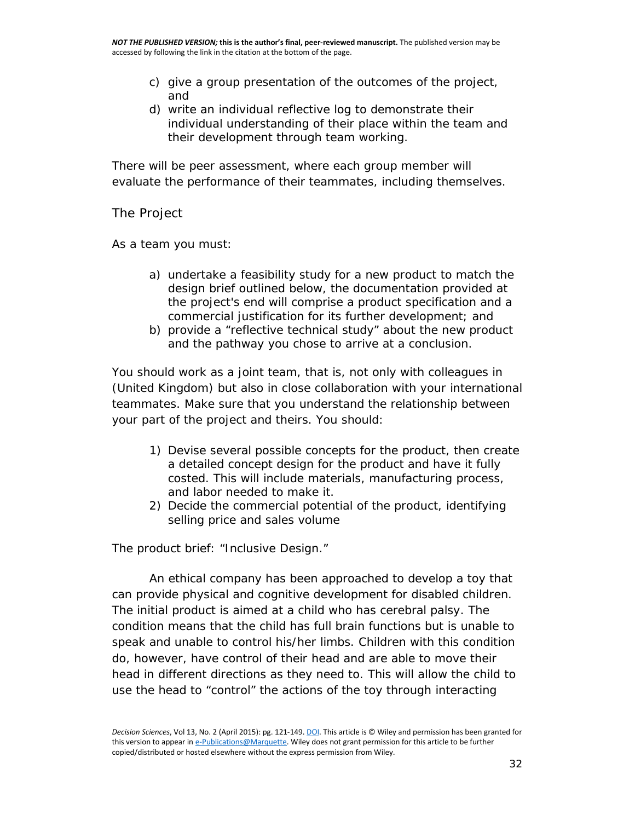- c) give a group presentation of the outcomes of the project, and
- d) write an individual reflective log to demonstrate their individual understanding of their place within the team and their development through team working.

There will be peer assessment, where each group member will evaluate the performance of their teammates, including themselves.

#### *The Project*

As a team you must:

- a) undertake a feasibility study for a new product to match the design brief outlined below, the documentation provided at the project's end will comprise a product specification and a commercial justification for its further development; and
- b) provide a "*reflective technical study*" about the new product and the pathway you chose to arrive at a conclusion.

You should work as a joint team, that is, not only with colleagues in (United Kingdom) but also in close collaboration with your international teammates. Make sure that you understand the relationship between your part of the project and theirs. You should:

- 1) Devise several possible concepts for the product, then create a detailed concept design for the product and have it fully costed. This will include materials, manufacturing process, and labor needed to make it.
- 2) Decide the commercial potential of the product, identifying selling price and sales volume

The product brief: "Inclusive Design."

An ethical company has been approached to develop a toy that can provide physical and cognitive development for disabled children. The initial product is aimed at a child who has cerebral palsy. The condition means that the child has full brain functions but is unable to speak and unable to control his/her limbs. Children with this condition do, however, have control of their head and are able to move their head in different directions as they need to. This will allow the child to use the head to "control" the actions of the toy through interacting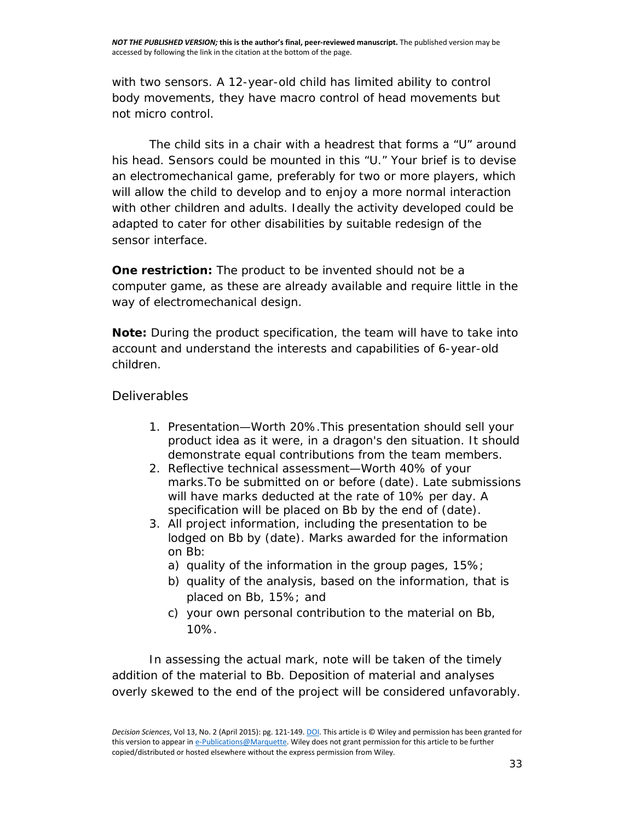with two sensors. A 12-year-old child has limited ability to control body movements, they have macro control of head movements but not micro control.

The child sits in a chair with a headrest that forms a "U" around his head. Sensors could be mounted in this "U." Your brief is to devise an electromechanical game, preferably for two or more players, which will allow the child to develop and to enjoy a more normal interaction with other children and adults. Ideally the activity developed could be adapted to cater for other disabilities by suitable redesign of the sensor interface.

**One restriction:** The product to be invented should not be a computer game, as these are already available and require little in the way of electromechanical design.

**Note:** During the product specification, the team will have to take into account and understand the interests and capabilities of 6-year-old children.

#### *Deliverables*

- 1. Presentation—Worth 20%.This presentation should sell your product idea as it were, in a dragon's den situation. It should demonstrate equal contributions from the team members.
- 2. Reflective technical assessment—Worth 40% of your marks.To be submitted on or before (date). Late submissions will have marks deducted at the rate of 10% per day. A specification will be placed on Bb by the end of (date).
- 3. All project information, including the presentation to be lodged on Bb by (date). Marks awarded for the information on Bb:
	- a) quality of the information in the group pages, 15%;
	- b) quality of the analysis, based on the information, that is placed on Bb, 15%; and
	- c) your own personal contribution to the material on Bb, 10%.

In assessing the actual mark, note will be taken of the timely addition of the material to Bb. Deposition of material and analyses overly skewed to the end of the project will be considered unfavorably.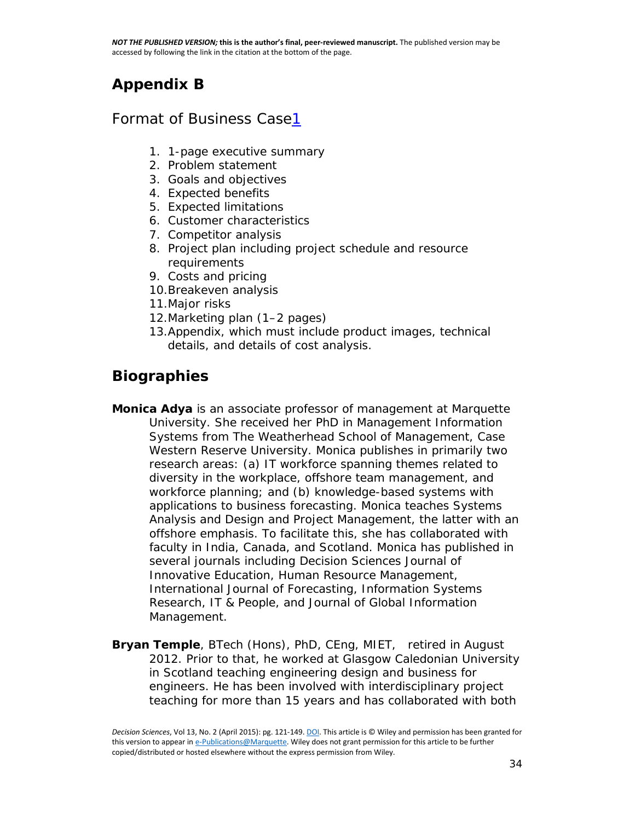## **Appendix B**

#### *Format of Business Cas[e1](http://onlinelibrary.wiley.com/doi/10.1111/dsji.12058/full#dsji12058-note-0001)*

- 1. 1-page executive summary
- 2. Problem statement
- 3. Goals and objectives
- 4. Expected benefits
- 5. Expected limitations
- 6. Customer characteristics
- 7. Competitor analysis
- 8. Project plan including project schedule and resource requirements
- 9. Costs and pricing
- 10.Breakeven analysis
- 11.Major risks
- 12.Marketing plan (1–2 pages)
- 13.Appendix, which must include product images, technical details, and details of cost analysis.

## **Biographies**

- **Monica Adya** is an associate professor of management at Marquette University. She received her PhD in Management Information Systems from The Weatherhead School of Management, Case Western Reserve University. Monica publishes in primarily two research areas: (a) IT workforce spanning themes related to diversity in the workplace, offshore team management, and workforce planning; and (b) knowledge-based systems with applications to business forecasting. Monica teaches Systems Analysis and Design and Project Management, the latter with an offshore emphasis. To facilitate this, she has collaborated with faculty in India, Canada, and Scotland. Monica has published in several journals including *Decision Sciences Journal of Innovative Education*, *Human Resource Management*, *International Journal of Forecasting*, *Information Systems Research*, IT & People, and *Journal of Global Information Management*.
- **Bryan Temple**, BTech (Hons), PhD, CEng, MIET, retired in August 2012. Prior to that, he worked at Glasgow Caledonian University in Scotland teaching engineering design and business for engineers. He has been involved with interdisciplinary project teaching for more than 15 years and has collaborated with both

*Decision Sciences*, Vol 13, No. 2 (April 2015): pg. 121-149[. DOI.](https://doi.org/10.1111/dsji.12058) This article is © Wiley and permission has been granted for this version to appear i[n e-Publications@Marquette.](http://epublications.marquette.edu/) Wiley does not grant permission for this article to be further copied/distributed or hosted elsewhere without the express permission from Wiley.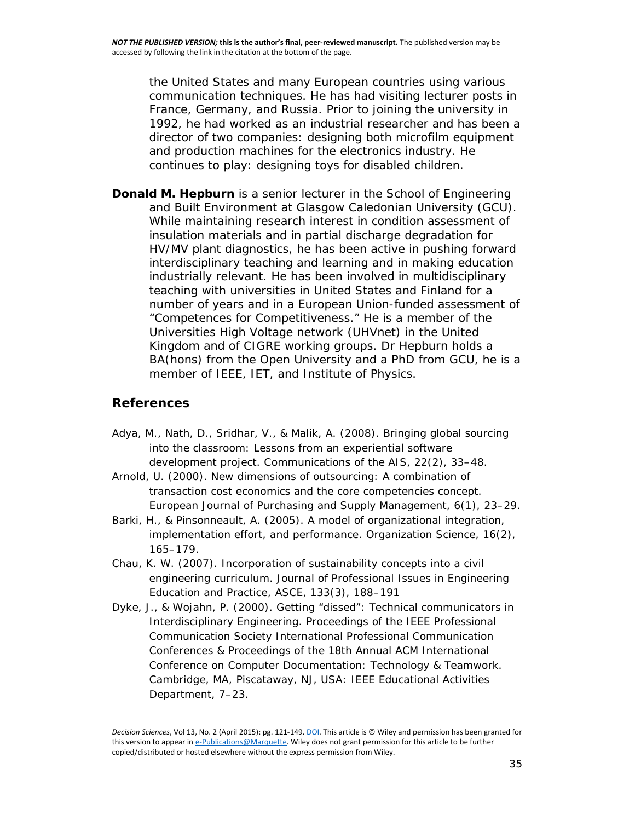the United States and many European countries using various communication techniques. He has had visiting lecturer posts in France, Germany, and Russia. Prior to joining the university in 1992, he had worked as an industrial researcher and has been a director of two companies: designing both microfilm equipment and production machines for the electronics industry. He continues to play: designing toys for disabled children.

**Donald M. Hepburn** is a senior lecturer in the School of Engineering and Built Environment at Glasgow Caledonian University (GCU). While maintaining research interest in condition assessment of insulation materials and in partial discharge degradation for HV/MV plant diagnostics, he has been active in pushing forward interdisciplinary teaching and learning and in making education industrially relevant. He has been involved in multidisciplinary teaching with universities in United States and Finland for a number of years and in a European Union-funded assessment of "Competences for Competitiveness." He is a member of the Universities High Voltage network (UHVnet) in the United Kingdom and of CIGRE working groups. Dr Hepburn holds a BA(hons) from the Open University and a PhD from GCU, he is a member of IEEE, IET, and Institute of Physics.

#### **[References](http://onlinelibrary.wiley.com/doi/10.1111/dsji.12058/full#dsji12058-bibl-0001)**

- Adya, M., Nath, D., Sridhar, V., & Malik, A. (2008). Bringing global sourcing into the classroom: Lessons from an experiential software development project. *Communications of the AIS,* 22(2), 33–48.
- Arnold, U. (2000). New dimensions of outsourcing: A combination of transaction cost economics and the core competencies concept. *European Journal of Purchasing and Supply Management,* 6(1), 23–29.
- Barki, H., & Pinsonneault, A. (2005). A model of organizational integration, implementation effort, and performance. *Organization Science*, 16(2), 165–179.
- Chau, K. W. (2007). Incorporation of sustainability concepts into a civil engineering curriculum. *Journal of Professional Issues in Engineering Education and Practice, ASCE,* 133(3), 188–191
- Dyke, J., & Wojahn, P. (2000). Getting "dissed": Technical communicators in Interdisciplinary Engineering. *Proceedings of the IEEE Professional Communication Society International Professional Communication Conferences & Proceedings of the 18th Annual ACM International Conference on Computer Documentation: Technology & Teamwork*. Cambridge, MA, Piscataway, NJ, USA: IEEE Educational Activities Department, 7–23.

*Decision Sciences*, Vol 13, No. 2 (April 2015): pg. 121-149[. DOI.](https://doi.org/10.1111/dsji.12058) This article is © Wiley and permission has been granted for this version to appear i[n e-Publications@Marquette.](http://epublications.marquette.edu/) Wiley does not grant permission for this article to be further copied/distributed or hosted elsewhere without the express permission from Wiley.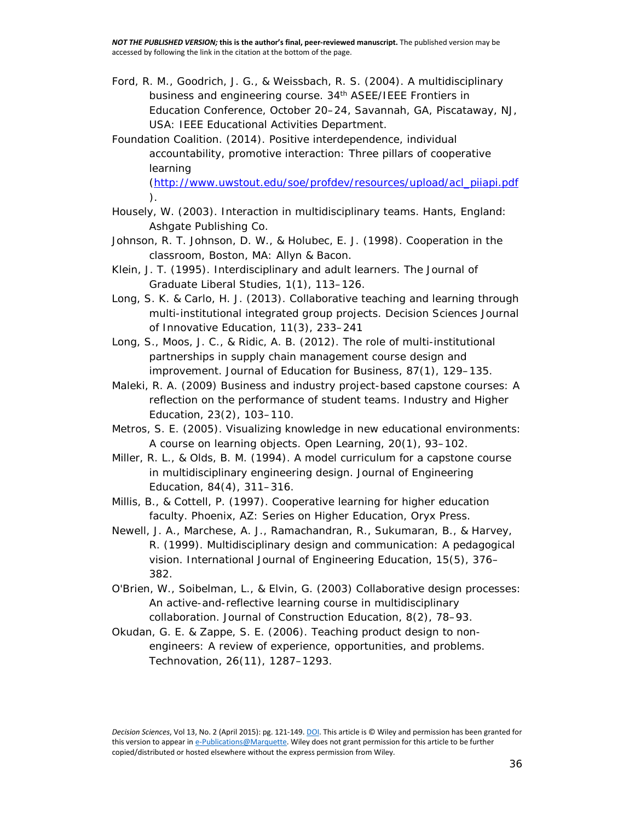- Ford, R. M., Goodrich, J. G., & Weissbach, R. S. (2004). *A multidisciplinary business and engineering course. 34th ASEE/IEEE Frontiers in Education Conference, October 20–24*, Savannah, GA, Piscataway, NJ, USA: IEEE Educational Activities Department.
- Foundation Coalition. (2014). Positive interdependence, individual accountability, promotive interaction: *Three pillars of cooperative learning*

[\(http://www.uwstout.edu/soe/profdev/resources/upload/acl\\_piiapi.pdf](http://www.uwstout.edu/soe/profdev/resources/upload/acl_piiapi.pdf) ).

- Housely, W. (2003). *Interaction in multidisciplinary teams*. Hants, England: Ashgate Publishing Co.
- Johnson, R. T. Johnson, D. W., & Holubec, E. J. (1998). *Cooperation in the classroom*, Boston, MA: Allyn & Bacon.
- Klein, J. T. (1995). Interdisciplinary and adult learners. *The Journal of Graduate Liberal Studies*, 1(1), 113–126.
- Long, S. K. & Carlo, H. J. (2013). Collaborative teaching and learning through multi-institutional integrated group projects. *Decision Sciences Journal of Innovative Education*, 11(3), 233–241
- Long, S., Moos, J. C., & Ridic, A. B. (2012). The role of multi-institutional partnerships in supply chain management course design and improvement. *Journal of Education for Business*, 87(1), 129–135.
- Maleki, R. A. (2009) Business and industry project-based capstone courses: A reflection on the performance of student teams. *Industry and Higher Education*, 23(2), 103–110.
- Metros, S. E. (2005). Visualizing knowledge in new educational environments: A course on learning objects. *Open Learning*, 20(1), 93–102.
- Miller, R. L., & Olds, B. M. (1994). A model curriculum for a capstone course in multidisciplinary engineering design. *Journal of Engineering Education,* 84(4), 311–316.
- Millis, B., & Cottell, P. (1997). *Cooperative learning for higher education faculty*. Phoenix, AZ: Series on Higher Education, Oryx Press.
- Newell, J. A., Marchese, A. J., Ramachandran, R., Sukumaran, B., & Harvey, R. (1999). Multidisciplinary design and communication: A pedagogical vision. *International Journal of Engineering Education,* 15(5), 376– 382.
- O'Brien, W., Soibelman, L., & Elvin, G. (2003) Collaborative design processes: An active-and-reflective learning course in multidisciplinary collaboration. *Journal of Construction Education*, 8(2), 78–93.
- Okudan, G. E. & Zappe, S. E. (2006). Teaching product design to nonengineers: A review of experience, opportunities, and problems. *Technovation*, 26(11), 1287–1293.

*Decision Sciences*, Vol 13, No. 2 (April 2015): pg. 121-149[. DOI.](https://doi.org/10.1111/dsji.12058) This article is © Wiley and permission has been granted for this version to appear i[n e-Publications@Marquette.](http://epublications.marquette.edu/) Wiley does not grant permission for this article to be further copied/distributed or hosted elsewhere without the express permission from Wiley.